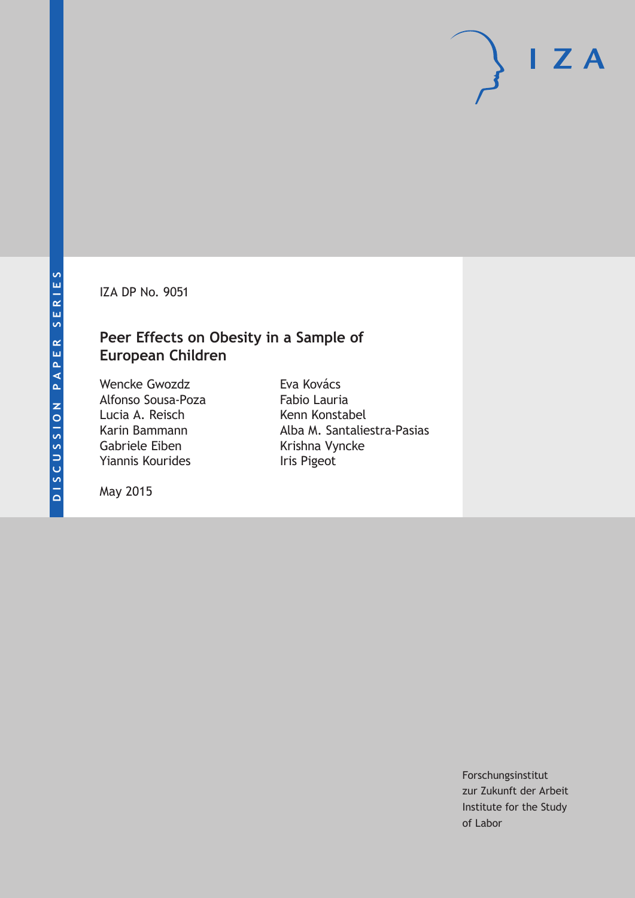IZA DP No. 9051

# **Peer Effects on Obesity in a Sample of European Children**

Wencke Gwozdz Alfonso Sousa-Poza Lucia A. Reisch Karin Bammann Gabriele Eiben Yiannis Kourides

Eva Kovács Fabio Lauria Kenn Konstabel Alba M. Santaliestra-Pasias Krishna Vyncke Iris Pigeot

May 2015

Forschungsinstitut zur Zukunft der Arbeit Institute for the Study of Labor

 $I Z A$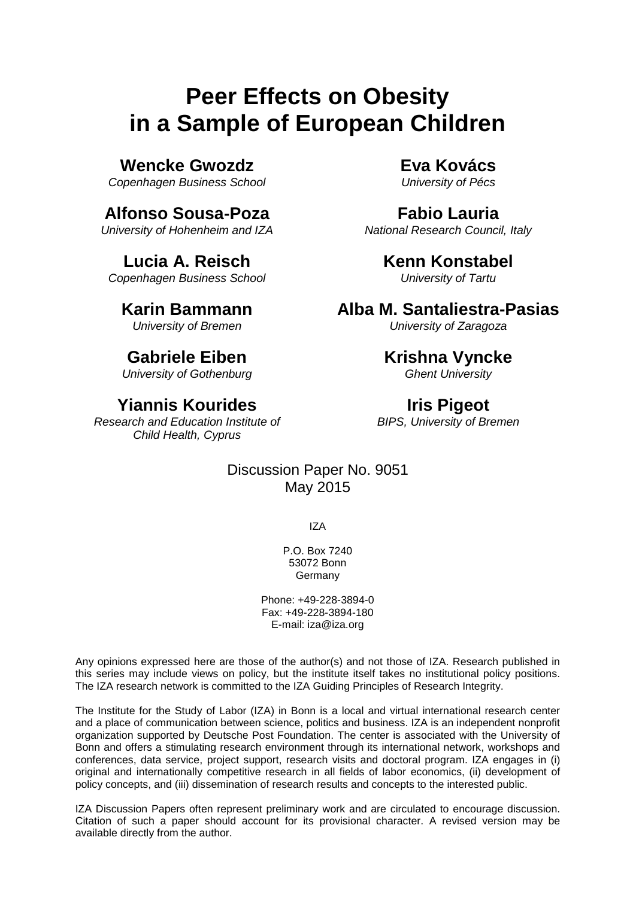# **Peer Effects on Obesity in a Sample of European Children**

### **Wencke Gwozdz**

*Copenhagen Business School*

### **Alfonso Sousa-Poza**

*University of Hohenheim and IZA*

**Lucia A. Reisch** *Copenhagen Business School*

### **Karin Bammann**

*University of Bremen*

### **Gabriele Eiben**

*University of Gothenburg*

## **Yiannis Kourides**

*Research and Education Institute of Child Health, Cyprus*

### **Eva Kovács**

*University of Pécs*

### **Fabio Lauria**

*National Research Council, Italy*

### **Kenn Konstabel**

*University of Tartu*

### **Alba M. Santaliestra-Pasias**

*University of Zaragoza*

### **Krishna Vyncke**

*Ghent University*

### **Iris Pigeot**

*BIPS, University of Bremen*

### Discussion Paper No. 9051 May 2015

IZA

P.O. Box 7240 53072 Bonn **Germany** 

Phone: +49-228-3894-0 Fax: +49-228-3894-180 E-mail: iza@iza.org

Any opinions expressed here are those of the author(s) and not those of IZA. Research published in this series may include views on policy, but the institute itself takes no institutional policy positions. The IZA research network is committed to the IZA Guiding Principles of Research Integrity.

The Institute for the Study of Labor (IZA) in Bonn is a local and virtual international research center and a place of communication between science, politics and business. IZA is an independent nonprofit organization supported by Deutsche Post Foundation. The center is associated with the University of Bonn and offers a stimulating research environment through its international network, workshops and conferences, data service, project support, research visits and doctoral program. IZA engages in (i) original and internationally competitive research in all fields of labor economics, (ii) development of policy concepts, and (iii) dissemination of research results and concepts to the interested public.

<span id="page-1-0"></span>IZA Discussion Papers often represent preliminary work and are circulated to encourage discussion. Citation of such a paper should account for its provisional character. A revised version may be available directly from the author.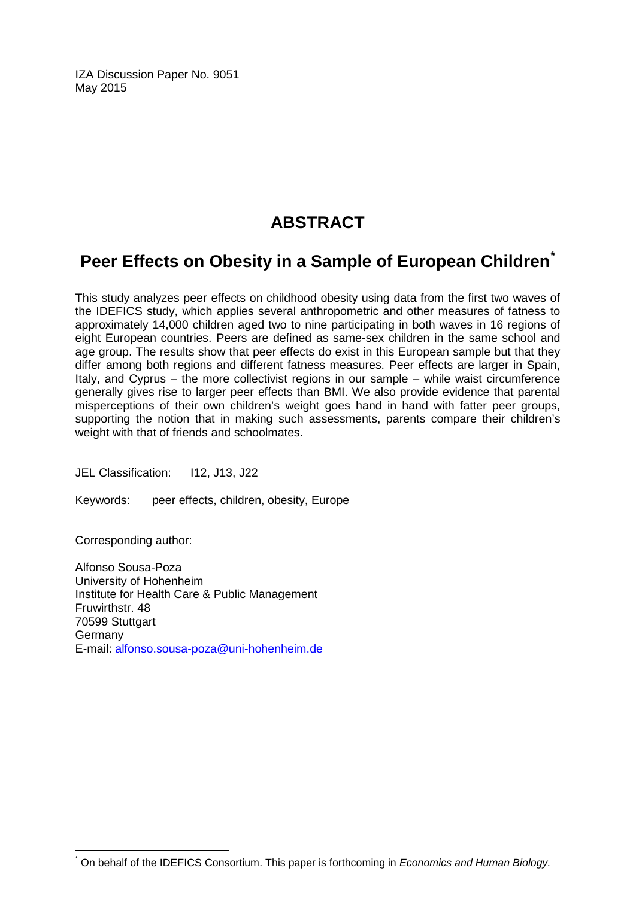IZA Discussion Paper No. 9051 May 2015

# **ABSTRACT**

# **Peer Effects on Obesity in a Sample of European Children[\\*](#page-1-0)**

This study analyzes peer effects on childhood obesity using data from the first two waves of the IDEFICS study, which applies several anthropometric and other measures of fatness to approximately 14,000 children aged two to nine participating in both waves in 16 regions of eight European countries. Peers are defined as same-sex children in the same school and age group. The results show that peer effects do exist in this European sample but that they differ among both regions and different fatness measures. Peer effects are larger in Spain, Italy, and Cyprus – the more collectivist regions in our sample – while waist circumference generally gives rise to larger peer effects than BMI. We also provide evidence that parental misperceptions of their own children's weight goes hand in hand with fatter peer groups, supporting the notion that in making such assessments, parents compare their children's weight with that of friends and schoolmates.

JEL Classification: I12, J13, J22

Keywords: peer effects, children, obesity, Europe

Corresponding author:

Alfonso Sousa-Poza University of Hohenheim Institute for Health Care & Public Management Fruwirthstr. 48 70599 Stuttgart Germany E-mail: [alfonso.sousa-poza@uni-hohenheim.de](mailto:alfonso.sousa-poza@uni-hohenheim.de)

\* On behalf of the IDEFICS Consortium. This paper is forthcoming in *Economics and Human Biology.*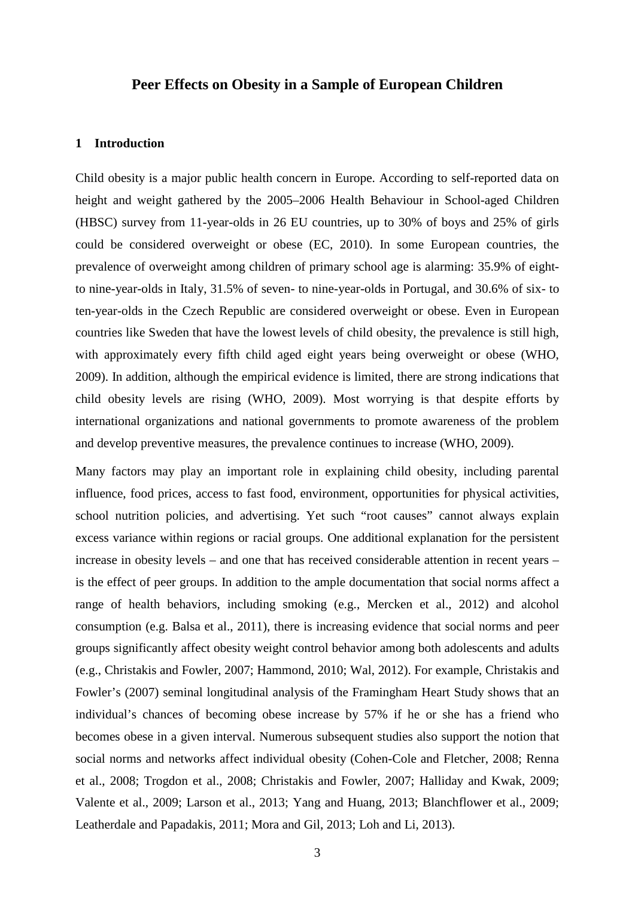#### **Peer Effects on Obesity in a Sample of European Children**

#### **1 Introduction**

Child obesity is a major public health concern in Europe. According to self-reported data on height and weight gathered by the 2005–2006 Health Behaviour in School-aged Children (HBSC) survey from 11-year-olds in 26 EU countries, up to 30% of boys and 25% of girls could be considered overweight or obese (EC, 2010). In some European countries, the prevalence of overweight among children of primary school age is alarming: 35.9% of eightto nine-year-olds in Italy, 31.5% of seven- to nine-year-olds in Portugal, and 30.6% of six- to ten-year-olds in the Czech Republic are considered overweight or obese. Even in European countries like Sweden that have the lowest levels of child obesity, the prevalence is still high, with approximately every fifth child aged eight years being overweight or obese (WHO, 2009). In addition, although the empirical evidence is limited, there are strong indications that child obesity levels are rising (WHO, 2009). Most worrying is that despite efforts by international organizations and national governments to promote awareness of the problem and develop preventive measures, the prevalence continues to increase (WHO, 2009).

Many factors may play an important role in explaining child obesity, including parental influence, food prices, access to fast food, environment, opportunities for physical activities, school nutrition policies, and advertising. Yet such "root causes" cannot always explain excess variance within regions or racial groups. One additional explanation for the persistent increase in obesity levels – and one that has received considerable attention in recent years – is the effect of peer groups. In addition to the ample documentation that social norms affect a range of health behaviors, including smoking (e.g., Mercken et al., 2012) and alcohol consumption (e.g. Balsa et al., 2011), there is increasing evidence that social norms and peer groups significantly affect obesity weight control behavior among both adolescents and adults (e.g., Christakis and Fowler, 2007; Hammond, 2010; Wal, 2012). For example, Christakis and Fowler's (2007) seminal longitudinal analysis of the Framingham Heart Study shows that an individual's chances of becoming obese increase by 57% if he or she has a friend who becomes obese in a given interval. Numerous subsequent studies also support the notion that social norms and networks affect individual obesity (Cohen-Cole and Fletcher, 2008; Renna et al., 2008; Trogdon et al., 2008; Christakis and Fowler, 2007; Halliday and Kwak, 2009; Valente et al., 2009; Larson et al., 2013; Yang and Huang, 2013; Blanchflower et al., 2009; Leatherdale and Papadakis, 2011; Mora and Gil, 2013; Loh and Li, 2013).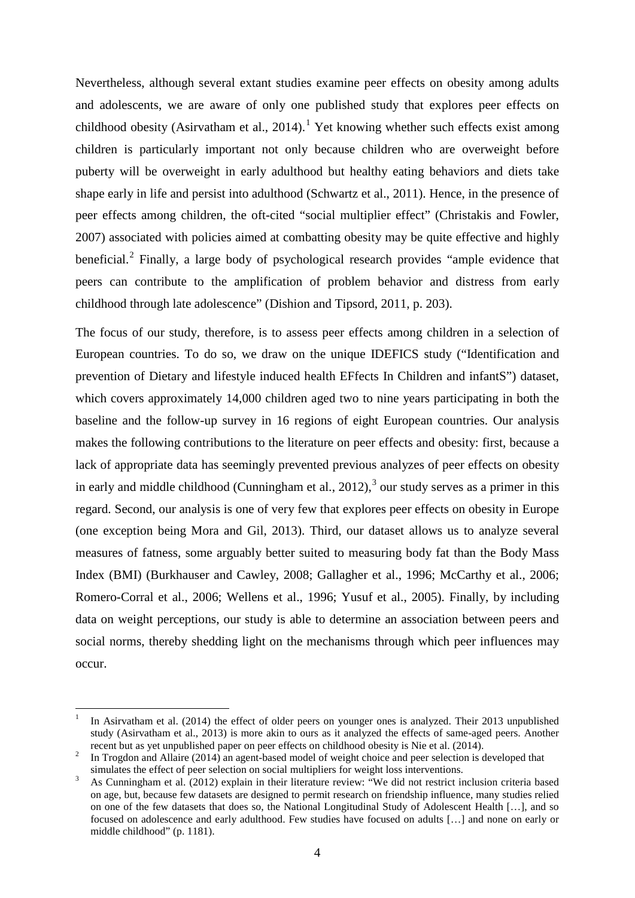Nevertheless, although several extant studies examine peer effects on obesity among adults and adolescents, we are aware of only one published study that explores peer effects on childhood obesity (Asirvatham et al., 2014).<sup>1</sup> Yet knowing whether such effects exist among children is particularly important not only because children who are overweight before puberty will be overweight in early adulthood but healthy eating behaviors and diets take shape early in life and persist into adulthood (Schwartz et al., 2011). Hence, in the presence of peer effects among children, the oft-cited "social multiplier effect" (Christakis and Fowler, 2007) associated with policies aimed at combatting obesity may be quite effective and highly beneficial.<sup>[2](#page-4-0)</sup> Finally, a large body of psychological research provides "ample evidence that peers can contribute to the amplification of problem behavior and distress from early childhood through late adolescence" (Dishion and Tipsord, 2011, p. 203).

The focus of our study, therefore, is to assess peer effects among children in a selection of European countries. To do so, we draw on the unique IDEFICS study ("Identification and prevention of Dietary and lifestyle induced health EFfects In Children and infantS") dataset, which covers approximately 14,000 children aged two to nine years participating in both the baseline and the follow-up survey in 16 regions of eight European countries. Our analysis makes the following contributions to the literature on peer effects and obesity: first, because a lack of appropriate data has seemingly prevented previous analyzes of peer effects on obesity in early and middle childhood (Cunningham et al.,  $2012$ ),  $3$  our study serves as a primer in this regard. Second, our analysis is one of very few that explores peer effects on obesity in Europe (one exception being Mora and Gil, 2013). Third, our dataset allows us to analyze several measures of fatness, some arguably better suited to measuring body fat than the Body Mass Index (BMI) (Burkhauser and Cawley, 2008; Gallagher et al., 1996; McCarthy et al., 2006; Romero-Corral et al., 2006; Wellens et al., 1996; Yusuf et al., 2005). Finally, by including data on weight perceptions, our study is able to determine an association between peers and social norms, thereby shedding light on the mechanisms through which peer influences may occur.

<span id="page-4-2"></span> <sup>1</sup> In Asirvatham et al. (2014) the effect of older peers on younger ones is analyzed. Their 2013 unpublished study (Asirvatham et al., 2013) is more akin to ours as it analyzed the effects of same-aged peers. Another

<span id="page-4-0"></span><sup>&</sup>lt;sup>2</sup> In Trogdon and Allaire (2014) an agent-based model of weight choice and peer selection is developed that simulates the effect of peer selection on social multipliers for weight loss interventions.

<span id="page-4-1"></span>As Cunningham et al. (2012) explain in their literature review: "We did not restrict inclusion criteria based on age, but, because few datasets are designed to permit research on friendship influence, many studies relied on one of the few datasets that does so, the National Longitudinal Study of Adolescent Health […], and so focused on adolescence and early adulthood. Few studies have focused on adults […] and none on early or middle childhood" (p. 1181).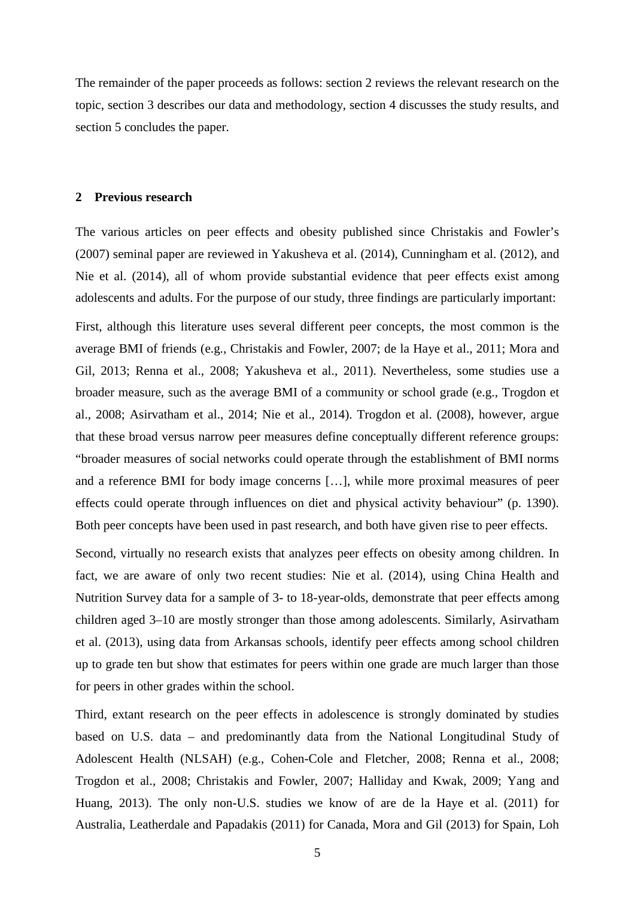The remainder of the paper proceeds as follows: section 2 reviews the relevant research on the topic, section 3 describes our data and methodology, section 4 discusses the study results, and section 5 concludes the paper.

#### **2 Previous research**

The various articles on peer effects and obesity published since Christakis and Fowler's (2007) seminal paper are reviewed in Yakusheva et al. (2014), Cunningham et al. (2012), and Nie et al. (2014), all of whom provide substantial evidence that peer effects exist among adolescents and adults. For the purpose of our study, three findings are particularly important:

First, although this literature uses several different peer concepts, the most common is the average BMI of friends (e.g., Christakis and Fowler, 2007; de la Haye et al., 2011; Mora and Gil, 2013; Renna et al., 2008; Yakusheva et al., 2011). Nevertheless, some studies use a broader measure, such as the average BMI of a community or school grade (e.g., Trogdon et al., 2008; Asirvatham et al., 2014; Nie et al., 2014). Trogdon et al. (2008), however, argue that these broad versus narrow peer measures define conceptually different reference groups: "broader measures of social networks could operate through the establishment of BMI norms and a reference BMI for body image concerns […], while more proximal measures of peer effects could operate through influences on diet and physical activity behaviour" (p. 1390). Both peer concepts have been used in past research, and both have given rise to peer effects.

Second, virtually no research exists that analyzes peer effects on obesity among children. In fact, we are aware of only two recent studies: Nie et al. (2014), using China Health and Nutrition Survey data for a sample of 3- to 18-year-olds, demonstrate that peer effects among children aged 3–10 are mostly stronger than those among adolescents. Similarly, Asirvatham et al. (2013), using data from Arkansas schools, identify peer effects among school children up to grade ten but show that estimates for peers within one grade are much larger than those for peers in other grades within the school.

Third, extant research on the peer effects in adolescence is strongly dominated by studies based on U.S. data – and predominantly data from the National Longitudinal Study of Adolescent Health (NLSAH) (e.g., Cohen-Cole and Fletcher, 2008; Renna et al., 2008; Trogdon et al., 2008; Christakis and Fowler, 2007; Halliday and Kwak, 2009; Yang and Huang, 2013). The only non-U.S. studies we know of are de la Haye et al. (2011) for Australia, Leatherdale and Papadakis (2011) for Canada, Mora and Gil (2013) for Spain, Loh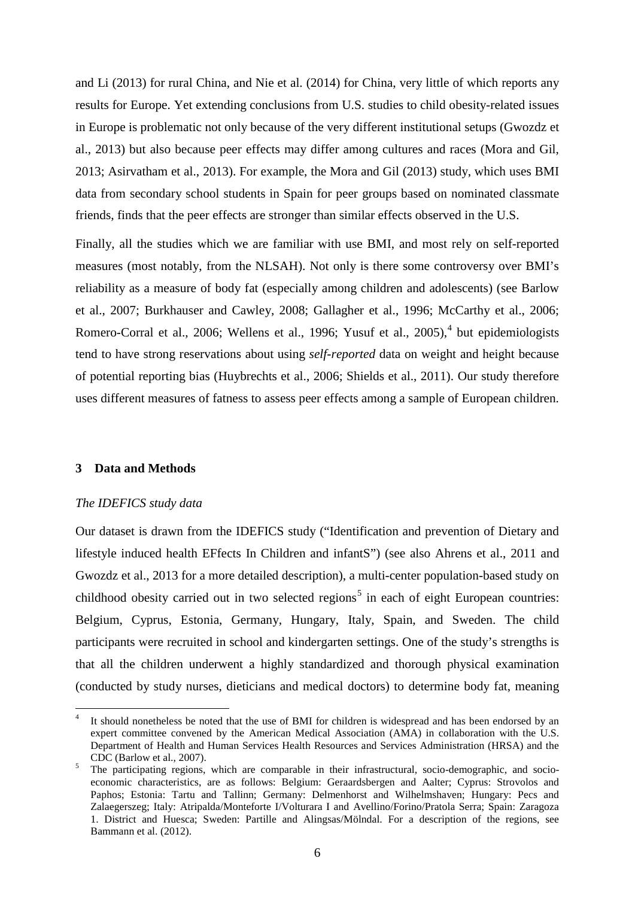and Li (2013) for rural China, and Nie et al. (2014) for China, very little of which reports any results for Europe. Yet extending conclusions from U.S. studies to child obesity-related issues in Europe is problematic not only because of the very different institutional setups (Gwozdz et al., 2013) but also because peer effects may differ among cultures and races (Mora and Gil, 2013; Asirvatham et al., 2013). For example, the Mora and Gil (2013) study, which uses BMI data from secondary school students in Spain for peer groups based on nominated classmate friends, finds that the peer effects are stronger than similar effects observed in the U.S.

Finally, all the studies which we are familiar with use BMI, and most rely on self-reported measures (most notably, from the NLSAH). Not only is there some controversy over BMI's reliability as a measure of body fat (especially among children and adolescents) (see Barlow et al., 2007; Burkhauser and Cawley, 2008; Gallagher et al., 1996; McCarthy et al., 2006; Romero-Corral et al., 2006; Wellens et al., 1996; Yusuf et al., 2005), [4](#page-4-2) but epidemiologists tend to have strong reservations about using *self-reported* data on weight and height because of potential reporting bias (Huybrechts et al., 2006; Shields et al., 2011). Our study therefore uses different measures of fatness to assess peer effects among a sample of European children.

#### **3 Data and Methods**

#### *The IDEFICS study data*

Our dataset is drawn from the IDEFICS study ("Identification and prevention of Dietary and lifestyle induced health EFfects In Children and infantS") (see also Ahrens et al., 2011 and Gwozdz et al., 2013 for a more detailed description), a multi-center population-based study on childhood obesity carried out in two selected regions<sup>[5](#page-6-0)</sup> in each of eight European countries: Belgium, Cyprus, Estonia, Germany, Hungary, Italy, Spain, and Sweden. The child participants were recruited in school and kindergarten settings. One of the study's strengths is that all the children underwent a highly standardized and thorough physical examination (conducted by study nurses, dieticians and medical doctors) to determine body fat, meaning

<span id="page-6-1"></span>It should nonetheless be noted that the use of BMI for children is widespread and has been endorsed by an expert committee convened by the American Medical Association (AMA) in collaboration with the U.S. Department of Health and Human Services Health Resources and Services Administration (HRSA) and the

<span id="page-6-0"></span>CDC (Barlow et al., 2007). <sup>5</sup> The participating regions, which are comparable in their infrastructural, socio-demographic, and socioeconomic characteristics, are as follows: Belgium: Geraardsbergen and Aalter; Cyprus: Strovolos and Paphos; Estonia: Tartu and Tallinn; Germany: Delmenhorst and Wilhelmshaven; Hungary: Pecs and Zalaegerszeg; Italy: Atripalda/Monteforte I/Volturara I and Avellino/Forino/Pratola Serra; Spain: Zaragoza 1. District and Huesca; Sweden: Partille and Alingsas/Mölndal. For a description of the regions, see Bammann et al. (2012).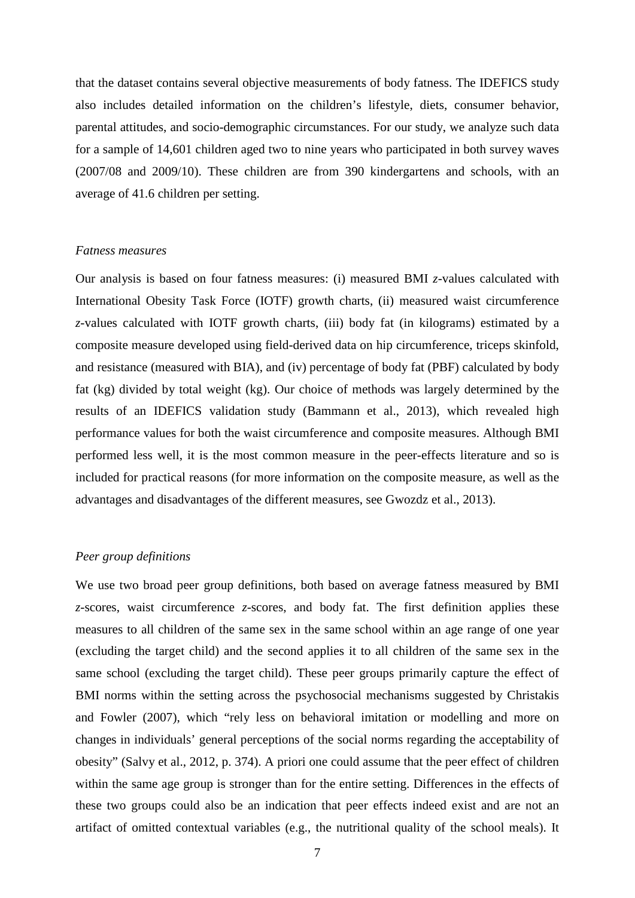that the dataset contains several objective measurements of body fatness. The IDEFICS study also includes detailed information on the children's lifestyle, diets, consumer behavior, parental attitudes, and socio-demographic circumstances. For our study, we analyze such data for a sample of 14,601 children aged two to nine years who participated in both survey waves (2007/08 and 2009/10). These children are from 390 kindergartens and schools, with an average of 41.6 children per setting.

#### *Fatness measures*

Our analysis is based on four fatness measures: (i) measured BMI *z*-values calculated with International Obesity Task Force (IOTF) growth charts, (ii) measured waist circumference *z*-values calculated with IOTF growth charts, (iii) body fat (in kilograms) estimated by a composite measure developed using field-derived data on hip circumference, triceps skinfold, and resistance (measured with BIA), and (iv) percentage of body fat (PBF) calculated by body fat (kg) divided by total weight (kg). Our choice of methods was largely determined by the results of an IDEFICS validation study (Bammann et al., 2013), which revealed high performance values for both the waist circumference and composite measures. Although BMI performed less well, it is the most common measure in the peer-effects literature and so is included for practical reasons (for more information on the composite measure, as well as the advantages and disadvantages of the different measures, see Gwozdz et al., 2013).

#### *Peer group definitions*

We use two broad peer group definitions, both based on average fatness measured by BMI *z*-scores, waist circumference *z*-scores, and body fat. The first definition applies these measures to all children of the same sex in the same school within an age range of one year (excluding the target child) and the second applies it to all children of the same sex in the same school (excluding the target child). These peer groups primarily capture the effect of BMI norms within the setting across the psychosocial mechanisms suggested by Christakis and Fowler (2007), which "rely less on behavioral imitation or modelling and more on changes in individuals' general perceptions of the social norms regarding the acceptability of obesity" (Salvy et al., 2012, p. 374). A priori one could assume that the peer effect of children within the same age group is stronger than for the entire setting. Differences in the effects of these two groups could also be an indication that peer effects indeed exist and are not an artifact of omitted contextual variables (e.g., the nutritional quality of the school meals). It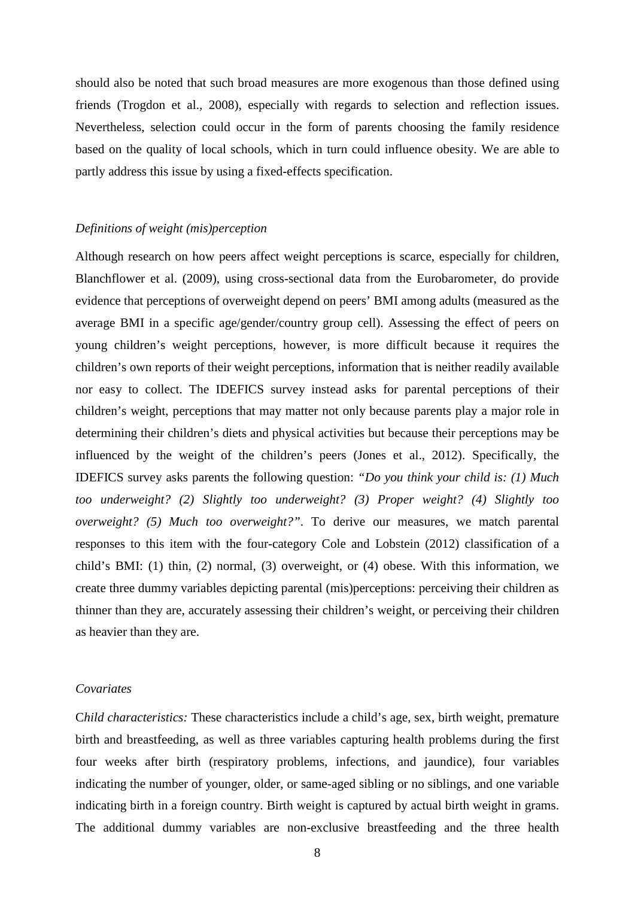should also be noted that such broad measures are more exogenous than those defined using friends (Trogdon et al., 2008), especially with regards to selection and reflection issues. Nevertheless, selection could occur in the form of parents choosing the family residence based on the quality of local schools, which in turn could influence obesity. We are able to partly address this issue by using a fixed-effects specification.

#### *Definitions of weight (mis)perception*

Although research on how peers affect weight perceptions is scarce, especially for children, Blanchflower et al. (2009), using cross-sectional data from the Eurobarometer, do provide evidence that perceptions of overweight depend on peers' BMI among adults (measured as the average BMI in a specific age/gender/country group cell). Assessing the effect of peers on young children's weight perceptions, however, is more difficult because it requires the children's own reports of their weight perceptions, information that is neither readily available nor easy to collect. The IDEFICS survey instead asks for parental perceptions of their children's weight, perceptions that may matter not only because parents play a major role in determining their children's diets and physical activities but because their perceptions may be influenced by the weight of the children's peers (Jones et al., 2012). Specifically, the IDEFICS survey asks parents the following question: *"Do you think your child is: (1) Much too underweight? (2) Slightly too underweight? (3) Proper weight? (4) Slightly too overweight? (5) Much too overweight?"*. To derive our measures, we match parental responses to this item with the four-category Cole and Lobstein (2012) classification of a child's BMI: (1) thin, (2) normal, (3) overweight, or (4) obese. With this information, we create three dummy variables depicting parental (mis)perceptions: perceiving their children as thinner than they are, accurately assessing their children's weight, or perceiving their children as heavier than they are.

#### *Covariates*

C*hild characteristics:* These characteristics include a child's age, sex, birth weight, premature birth and breastfeeding, as well as three variables capturing health problems during the first four weeks after birth (respiratory problems, infections, and jaundice), four variables indicating the number of younger, older, or same-aged sibling or no siblings, and one variable indicating birth in a foreign country. Birth weight is captured by actual birth weight in grams. The additional dummy variables are non-exclusive breastfeeding and the three health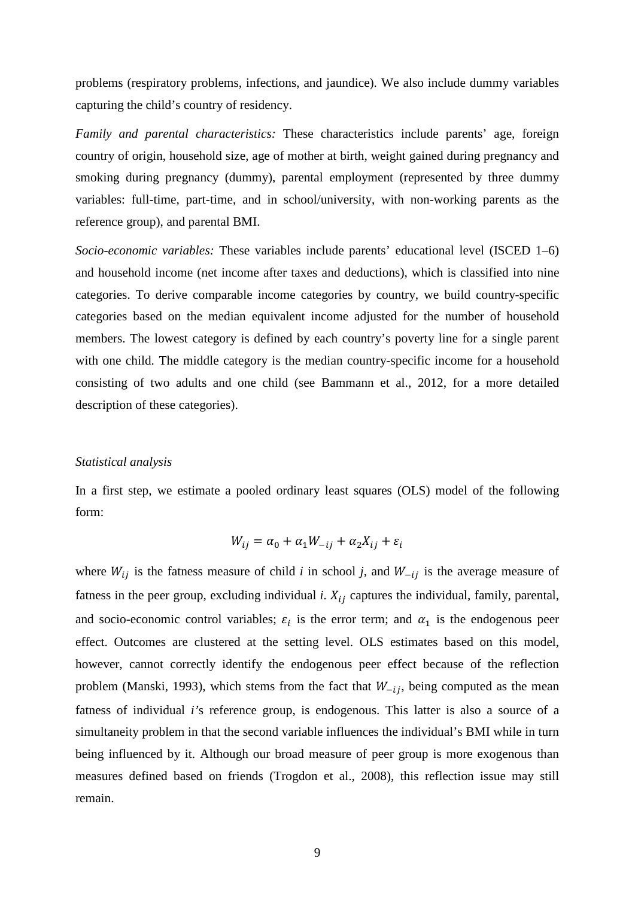problems (respiratory problems, infections, and jaundice). We also include dummy variables capturing the child's country of residency.

*Family and parental characteristics:* These characteristics include parents' age, foreign country of origin, household size, age of mother at birth, weight gained during pregnancy and smoking during pregnancy (dummy), parental employment (represented by three dummy variables: full-time, part-time, and in school/university, with non-working parents as the reference group), and parental BMI.

*Socio-economic variables:* These variables include parents' educational level (ISCED 1–6) and household income (net income after taxes and deductions), which is classified into nine categories. To derive comparable income categories by country, we build country-specific categories based on the median equivalent income adjusted for the number of household members. The lowest category is defined by each country's poverty line for a single parent with one child. The middle category is the median country-specific income for a household consisting of two adults and one child (see Bammann et al., 2012, for a more detailed description of these categories).

#### *Statistical analysis*

In a first step, we estimate a pooled ordinary least squares (OLS) model of the following form:

$$
W_{ij} = \alpha_0 + \alpha_1 W_{-ij} + \alpha_2 X_{ij} + \varepsilon_i
$$

where  $W_{ij}$  is the fatness measure of child *i* in school *j*, and  $W_{-ij}$  is the average measure of fatness in the peer group, excluding individual  $i$ .  $X_{ij}$  captures the individual, family, parental, and socio-economic control variables;  $\varepsilon_i$  is the error term; and  $\alpha_1$  is the endogenous peer effect. Outcomes are clustered at the setting level. OLS estimates based on this model, however, cannot correctly identify the endogenous peer effect because of the reflection problem (Manski, 1993), which stems from the fact that  $W_{-ij}$ , being computed as the mean fatness of individual *i'*s reference group, is endogenous. This latter is also a source of a simultaneity problem in that the second variable influences the individual's BMI while in turn being influenced by it. Although our broad measure of peer group is more exogenous than measures defined based on friends (Trogdon et al., 2008), this reflection issue may still remain.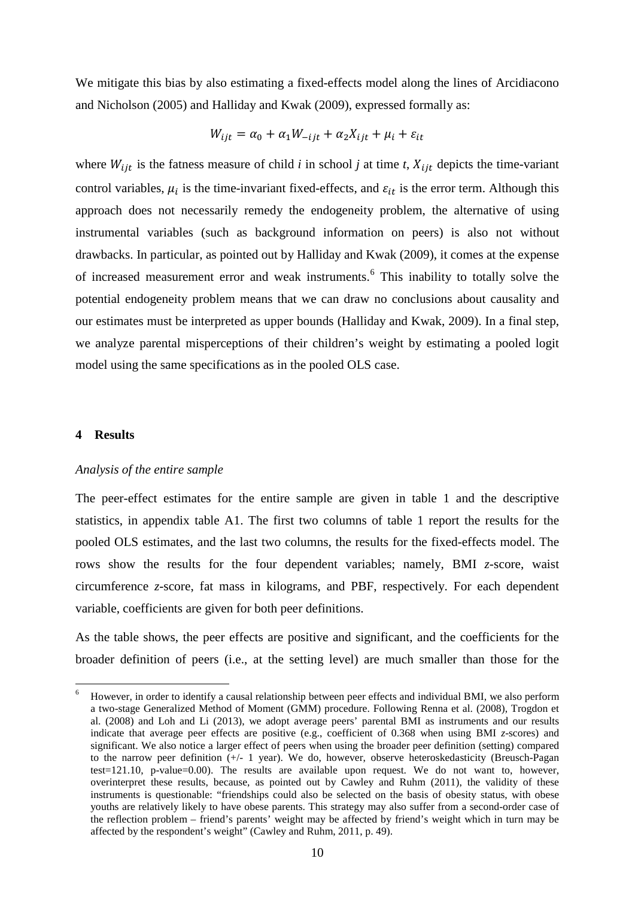We mitigate this bias by also estimating a fixed-effects model along the lines of Arcidiacono and Nicholson (2005) and Halliday and Kwak (2009), expressed formally as:

$$
W_{ijt} = \alpha_0 + \alpha_1 W_{-ijt} + \alpha_2 X_{ijt} + \mu_i + \varepsilon_{it}
$$

where  $W_{ijt}$  is the fatness measure of child *i* in school *j* at time *t*,  $X_{ijt}$  depicts the time-variant control variables,  $\mu_i$  is the time-invariant fixed-effects, and  $\varepsilon_{it}$  is the error term. Although this approach does not necessarily remedy the endogeneity problem, the alternative of using instrumental variables (such as background information on peers) is also not without drawbacks. In particular, as pointed out by Halliday and Kwak (2009), it comes at the expense of increased measurement error and weak instruments.<sup>[6](#page-6-1)</sup> This inability to totally solve the potential endogeneity problem means that we can draw no conclusions about causality and our estimates must be interpreted as upper bounds (Halliday and Kwak, 2009). In a final step, we analyze parental misperceptions of their children's weight by estimating a pooled logit model using the same specifications as in the pooled OLS case.

#### **4 Results**

#### *Analysis of the entire sample*

The peer-effect estimates for the entire sample are given in table 1 and the descriptive statistics, in appendix table A1. The first two columns of table 1 report the results for the pooled OLS estimates, and the last two columns, the results for the fixed-effects model. The rows show the results for the four dependent variables; namely, BMI *z*-score, waist circumference *z*-score, fat mass in kilograms, and PBF, respectively. For each dependent variable, coefficients are given for both peer definitions.

As the table shows, the peer effects are positive and significant, and the coefficients for the broader definition of peers (i.e., at the setting level) are much smaller than those for the

<span id="page-10-0"></span> <sup>6</sup> However, in order to identify a causal relationship between peer effects and individual BMI, we also perform a two-stage Generalized Method of Moment (GMM) procedure. Following Renna et al. (2008), Trogdon et al. (2008) and Loh and Li (2013), we adopt average peers' parental BMI as instruments and our results indicate that average peer effects are positive (e.g., coefficient of 0.368 when using BMI *z*-scores) and significant. We also notice a larger effect of peers when using the broader peer definition (setting) compared to the narrow peer definition (+/- 1 year). We do, however, observe heteroskedasticity (Breusch-Pagan test=121.10, p-value=0.00). The results are available upon request. We do not want to, however, overinterpret these results, because, as pointed out by Cawley and Ruhm (2011), the validity of these instruments is questionable: "friendships could also be selected on the basis of obesity status, with obese youths are relatively likely to have obese parents. This strategy may also suffer from a second-order case of the reflection problem – friend's parents' weight may be affected by friend's weight which in turn may be affected by the respondent's weight" (Cawley and Ruhm, 2011, p. 49).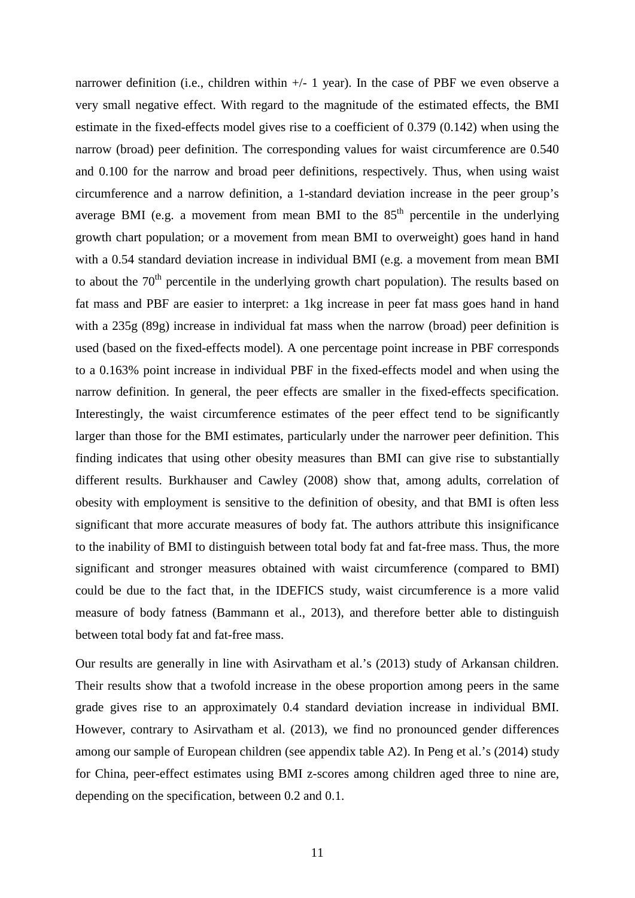narrower definition (i.e., children within  $+/- 1$  year). In the case of PBF we even observe a very small negative effect. With regard to the magnitude of the estimated effects, the BMI estimate in the fixed-effects model gives rise to a coefficient of 0.379 (0.142) when using the narrow (broad) peer definition. The corresponding values for waist circumference are 0.540 and 0.100 for the narrow and broad peer definitions, respectively. Thus, when using waist circumference and a narrow definition, a 1-standard deviation increase in the peer group's average BMI (e.g. a movement from mean BMI to the  $85<sup>th</sup>$  percentile in the underlying growth chart population; or a movement from mean BMI to overweight) goes hand in hand with a 0.54 standard deviation increase in individual BMI (e.g. a movement from mean BMI to about the  $70<sup>th</sup>$  percentile in the underlying growth chart population). The results based on fat mass and PBF are easier to interpret: a 1kg increase in peer fat mass goes hand in hand with a 235g (89g) increase in individual fat mass when the narrow (broad) peer definition is used (based on the fixed-effects model). A one percentage point increase in PBF corresponds to a 0.163% point increase in individual PBF in the fixed-effects model and when using the narrow definition. In general, the peer effects are smaller in the fixed-effects specification. Interestingly, the waist circumference estimates of the peer effect tend to be significantly larger than those for the BMI estimates, particularly under the narrower peer definition. This finding indicates that using other obesity measures than BMI can give rise to substantially different results. Burkhauser and Cawley (2008) show that, among adults, correlation of obesity with employment is sensitive to the definition of obesity, and that BMI is often less significant that more accurate measures of body fat. The authors attribute this insignificance to the inability of BMI to distinguish between total body fat and fat-free mass. Thus, the more significant and stronger measures obtained with waist circumference (compared to BMI) could be due to the fact that, in the IDEFICS study, waist circumference is a more valid measure of body fatness (Bammann et al., 2013), and therefore better able to distinguish between total body fat and fat-free mass.

Our results are generally in line with Asirvatham et al.'s (2013) study of Arkansan children. Their results show that a twofold increase in the obese proportion among peers in the same grade gives rise to an approximately 0.4 standard deviation increase in individual BMI. However, contrary to Asirvatham et al. (2013), we find no pronounced gender differences among our sample of European children (see appendix table A2). In Peng et al.'s (2014) study for China, peer-effect estimates using BMI z-scores among children aged three to nine are, depending on the specification, between 0.2 and 0.1.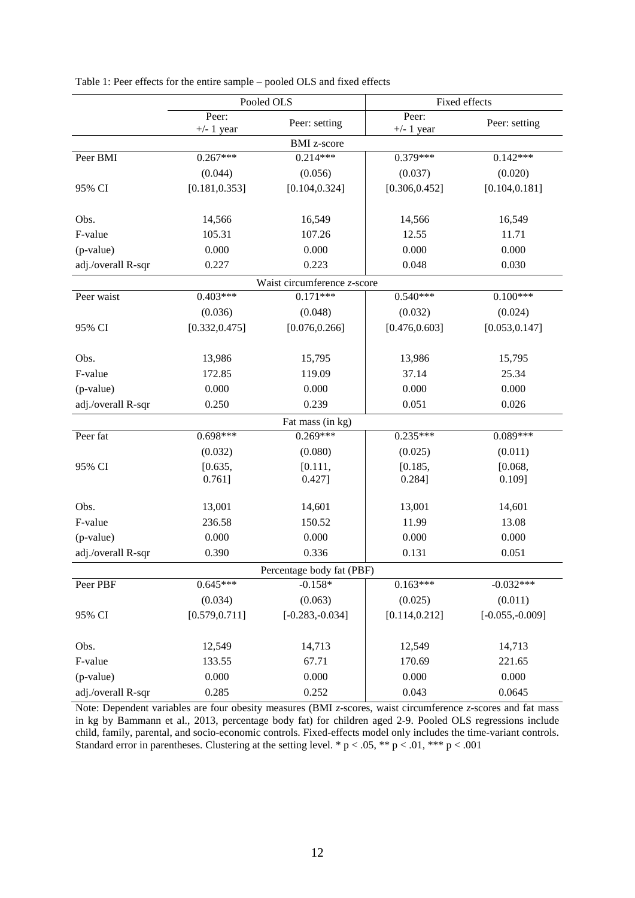|                    |                       | Pooled OLS                             | Fixed effects         |                    |  |
|--------------------|-----------------------|----------------------------------------|-----------------------|--------------------|--|
|                    | Peer:<br>$+/- 1$ year | Peer: setting                          | Peer:<br>$+/- 1$ year | Peer: setting      |  |
|                    |                       | <b>BMI</b> z-score                     |                       |                    |  |
| Peer BMI           | $0.267***$            | $0.214***$                             | $0.379***$            | $0.142***$         |  |
|                    | (0.044)               | (0.056)                                | (0.037)               | (0.020)            |  |
| 95% CI             | [0.181, 0.353]        | [0.104, 0.324]                         | [0.306, 0.452]        | [0.104, 0.181]     |  |
|                    |                       |                                        |                       |                    |  |
| Obs.               | 14,566                | 16,549                                 | 14,566                | 16,549             |  |
| F-value            | 105.31                | 107.26                                 | 12.55                 | 11.71              |  |
| (p-value)          | 0.000                 | 0.000                                  | 0.000                 | 0.000              |  |
| adj./overall R-sqr | 0.227                 | 0.223                                  | 0.048                 | 0.030              |  |
|                    |                       | Waist circumference z-score            |                       |                    |  |
| Peer waist         | $0.403***$            | $0.171***$                             | $0.540***$            | $0.100***$         |  |
|                    | (0.036)               | (0.048)                                | (0.032)               | (0.024)            |  |
| 95% CI             | [0.332, 0.475]        | [0.076, 0.266]                         | [0.476, 0.603]        | [0.053, 0.147]     |  |
|                    |                       |                                        |                       |                    |  |
| Obs.               | 13,986                | 15,795                                 | 13,986                | 15,795             |  |
| F-value            | 172.85                | 119.09                                 | 37.14                 | 25.34              |  |
| (p-value)          | 0.000                 | 0.000                                  | 0.000                 | 0.000              |  |
| adj./overall R-sqr | 0.250                 | 0.239                                  | 0.051                 | 0.026              |  |
|                    |                       | Fat mass (in kg)                       |                       |                    |  |
| Peer fat           | $0.698***$            | $0.269***$                             | $0.235***$            | $0.089***$         |  |
|                    | (0.032)               | (0.080)                                | (0.025)               | (0.011)            |  |
| 95% CI             | [0.635,               | [0.111,                                | [0.185,               | [0.068,            |  |
|                    | 0.761]                | $0.427$ ]                              | 0.284]                | 0.109]             |  |
| Obs.               | 13,001                | 14,601                                 | 13,001                | 14,601             |  |
| F-value            | 236.58                | 150.52                                 | 11.99                 | 13.08              |  |
| (p-value)          | 0.000                 | 0.000                                  | 0.000                 | 0.000              |  |
| adj./overall R-sqr | 0.390                 | 0.336                                  | 0.131                 | 0.051              |  |
|                    |                       |                                        |                       |                    |  |
| Peer PBF           | $0.645***$            | Percentage body fat (PBF)<br>$-0.158*$ | $0.163***$            | $-0.032***$        |  |
|                    | (0.034)               | (0.063)                                | (0.025)               | (0.011)            |  |
| 95% CI             | [0.579, 0.711]        | $[-0.283, -0.034]$                     | [0.114, 0.212]        | $[-0.055, -0.009]$ |  |
|                    |                       |                                        |                       |                    |  |
| Obs.               | 12,549                | 14,713                                 | 12,549                | 14,713             |  |
| F-value            | 133.55                | 67.71                                  | 170.69                | 221.65             |  |
| (p-value)          | 0.000                 | 0.000                                  | 0.000                 | 0.000              |  |
| adj./overall R-sqr | 0.285                 | 0.252                                  | 0.043                 | 0.0645             |  |

Table 1: Peer effects for the entire sample – pooled OLS and fixed effects

Note: Dependent variables are four obesity measures (BMI *z*-scores, waist circumference *z*-scores and fat mass in kg by Bammann et al., 2013, percentage body fat) for children aged 2-9. Pooled OLS regressions include child, family, parental, and socio-economic controls. Fixed-effects model only includes the time-variant controls. Standard error in parentheses. Clustering at the setting level. \*  $p < .05$ , \*\*  $p < .01$ , \*\*\*  $p < .001$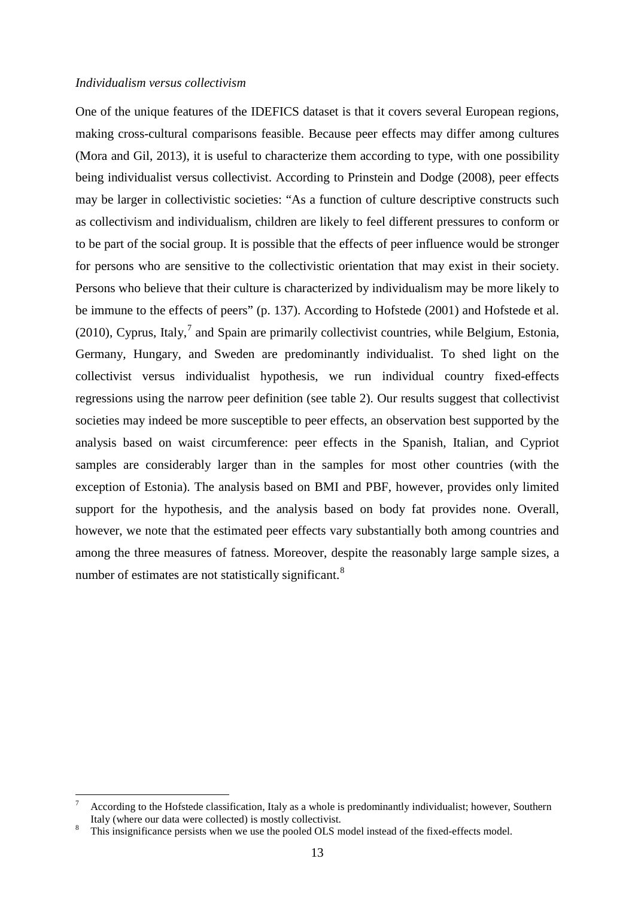#### *Individualism versus collectivism*

One of the unique features of the IDEFICS dataset is that it covers several European regions, making cross-cultural comparisons feasible. Because peer effects may differ among cultures (Mora and Gil, 2013), it is useful to characterize them according to type, with one possibility being individualist versus collectivist. According to Prinstein and Dodge (2008), peer effects may be larger in collectivistic societies: "As a function of culture descriptive constructs such as collectivism and individualism, children are likely to feel different pressures to conform or to be part of the social group. It is possible that the effects of peer influence would be stronger for persons who are sensitive to the collectivistic orientation that may exist in their society. Persons who believe that their culture is characterized by individualism may be more likely to be immune to the effects of peers" (p. 137). According to Hofstede (2001) and Hofstede et al.  $(2010)$ , Cyprus, Italy,<sup>[7](#page-10-0)</sup> and Spain are primarily collectivist countries, while Belgium, Estonia, Germany, Hungary, and Sweden are predominantly individualist. To shed light on the collectivist versus individualist hypothesis, we run individual country fixed-effects regressions using the narrow peer definition (see table 2). Our results suggest that collectivist societies may indeed be more susceptible to peer effects, an observation best supported by the analysis based on waist circumference: peer effects in the Spanish, Italian, and Cypriot samples are considerably larger than in the samples for most other countries (with the exception of Estonia). The analysis based on BMI and PBF, however, provides only limited support for the hypothesis, and the analysis based on body fat provides none. Overall, however, we note that the estimated peer effects vary substantially both among countries and among the three measures of fatness. Moreover, despite the reasonably large sample sizes, a number of estimates are not statistically significant.<sup>[8](#page-13-0)</sup>

 <sup>7</sup> According to the Hofstede classification, Italy as a whole is predominantly individualist; however, Southern Italy (where our data were collected) is mostly collectivist.<br>This insignificance persists when we use the pooled OLS model instead of the fixed-effects model.

<span id="page-13-0"></span>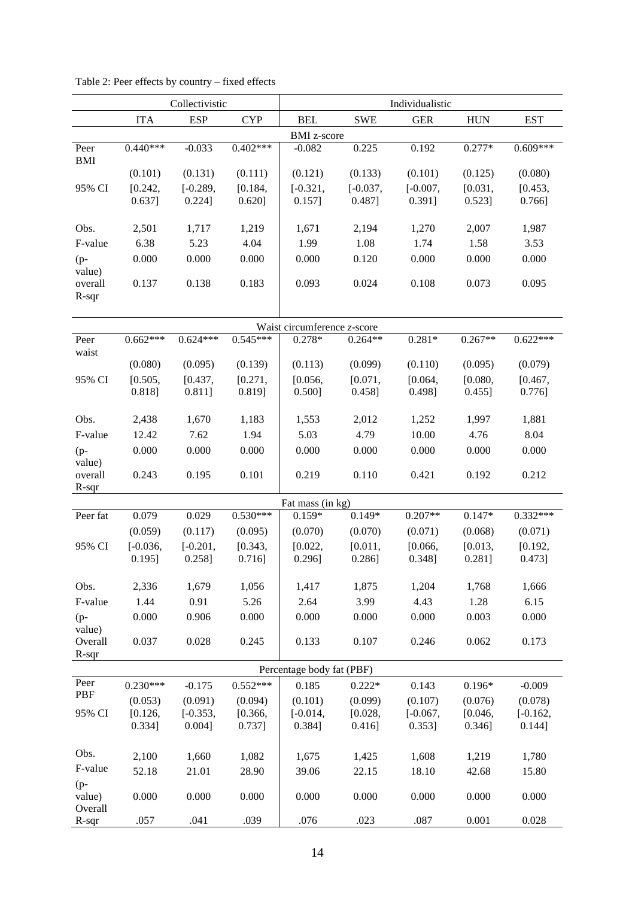|                     | Collectivistic    |                      |                   | Individualistic             |                      |                      |                      |                   |
|---------------------|-------------------|----------------------|-------------------|-----------------------------|----------------------|----------------------|----------------------|-------------------|
|                     | <b>ITA</b>        | <b>ESP</b>           | <b>CYP</b>        | <b>BEL</b>                  | <b>SWE</b>           | <b>GER</b>           | <b>HUN</b>           | <b>EST</b>        |
|                     |                   |                      |                   | <b>BMI</b> z-score          |                      |                      |                      |                   |
| Peer<br><b>BMI</b>  | $0.440***$        | $-0.033$             | $0.402***$        | $-0.082$                    | 0.225                | 0.192                | $0.277*$             | $0.609***$        |
|                     | (0.101)           | (0.131)              | (0.111)           | (0.121)                     | (0.133)              | (0.101)              | (0.125)              | (0.080)           |
| 95% CI              | [0.242,<br>0.637] | $[-0.289,$<br>0.224] | [0.184,<br>0.620] | $[-0.321,$<br>$0.157$ ]     | $[-0.037,$<br>0.487] | $[-0.007,$<br>0.391] | [0.031,<br>$0.523$ ] | [0.453,<br>0.766] |
| Obs.                | 2,501             | 1,717                | 1,219             | 1,671                       | 2,194                | 1,270                | 2,007                | 1,987             |
| F-value             | 6.38              | 5.23                 | 4.04              | 1.99                        | 1.08                 | 1.74                 | 1.58                 | 3.53              |
| $(p-$<br>value)     | 0.000             | 0.000                | 0.000             | 0.000                       | 0.120                | 0.000                | 0.000                | 0.000             |
| overall<br>$R$ -sqr | 0.137             | 0.138                | 0.183             | 0.093                       | 0.024                | 0.108                | 0.073                | 0.095             |
|                     |                   |                      |                   | Waist circumference z-score |                      |                      |                      |                   |
| Peer<br>waist       | $0.662***$        | $0.624***$           | $0.545***$        | $0.278*$                    | $0.264**$            | $0.281*$             | $0.267**$            | $0.622***$        |
|                     | (0.080)           | (0.095)              | (0.139)           | (0.113)                     | (0.099)              | (0.110)              | (0.095)              | (0.079)           |
| 95% CI              | [0.505,           | [0.437,              | [0.271,           | [0.056,                     | [0.071,              | [0.064,              | [0.080,              | [0.467,           |
|                     | 0.818]            | $0.811$ ]            | 0.819]            | 0.500]                      | 0.458]               | 0.498]               | $0.455$ ]            | $0.776$ ]         |
| Obs.                | 2,438             | 1,670                | 1,183             | 1,553                       | 2,012                | 1,252                | 1,997                | 1,881             |
| F-value             | 12.42             | 7.62                 | 1.94              | 5.03                        | 4.79                 | 10.00                | 4.76                 | 8.04              |
| $(p-$<br>value)     | 0.000             | 0.000                | 0.000             | 0.000                       | 0.000                | 0.000                | 0.000                | 0.000             |
| overall<br>$R$ -sqr | 0.243             | 0.195                | 0.101             | 0.219                       | 0.110                | 0.421                | 0.192                | 0.212             |
|                     |                   |                      |                   | Fat mass (in kg)            |                      |                      |                      |                   |
| Peer fat            | 0.079             | 0.029                | $0.530***$        | $0.159*$                    | $0.149*$             | $0.207**$            | $0.147*$             | $0.332***$        |
|                     | (0.059)           | (0.117)              | (0.095)           | (0.070)                     | (0.070)              | (0.071)              | (0.068)              | (0.071)           |
| 95% CI              | $[-0.036,$        | $[-0.201,$           | [0.343,           | [0.022,                     | [0.011,              | [0.066,              | [0.013,              | [0.192,           |
|                     | 0.195]            | 0.258]               | 0.716]            | 0.296]                      | 0.286]               | 0.348]               | 0.281]               | 0.473]            |
| Obs.                | 2,336             | 1,679                | 1,056             | 1,417                       | 1,875                | 1,204                | 1,768                | 1,666             |
| F-value             | 1.44              | 0.91                 | 5.26              | 2.64                        | 3.99                 | 4.43                 | 1.28                 | 6.15              |
| $(p-$<br>value)     | 0.000             | 0.906                | 0.000             | 0.000                       | 0.000                | 0.000                | 0.003                | 0.000             |
| Overall<br>$R$ -sqr | 0.037             | 0.028                | 0.245             | 0.133                       | 0.107                | 0.246                | 0.062                | 0.173             |
|                     |                   |                      |                   | Percentage body fat (PBF)   |                      |                      |                      |                   |
| Peer                | $0.230***$        | $-0.175$             | $0.552***$        | 0.185                       | $0.222*$             | 0.143                | $0.196*$             | $-0.009$          |
| PBF                 | (0.053)           | (0.091)              | (0.094)           | (0.101)                     | (0.099)              | (0.107)              | (0.076)              | (0.078)           |
| 95% CI              | [0.126,           | $[-0.353,$           | [0.366,           | $[-0.014,$                  | [0.028,              | $[-0.067,$           | [0.046,              | $[-0.162,$        |
|                     | 0.334]            | 0.004]               | 0.737]            | 0.384]                      | 0.416]               | 0.353]               | 0.346]               | 0.144]            |
| Obs.                | 2,100             | 1,660                | 1,082             | 1,675                       | 1,425                | 1,608                | 1,219                | 1,780             |
| F-value             | 52.18             | 21.01                | 28.90             | 39.06                       | 22.15                | 18.10                | 42.68                | 15.80             |
| $(p-$<br>value)     | 0.000             | 0.000                | 0.000             | 0.000                       | 0.000                | 0.000                | 0.000                | 0.000             |
| Overall<br>$R$ -sqr | .057              | .041                 | .039              | .076                        | .023                 | .087                 | 0.001                | 0.028             |

| Table 2: Peer effects by country – fixed effects |  |  |
|--------------------------------------------------|--|--|
|--------------------------------------------------|--|--|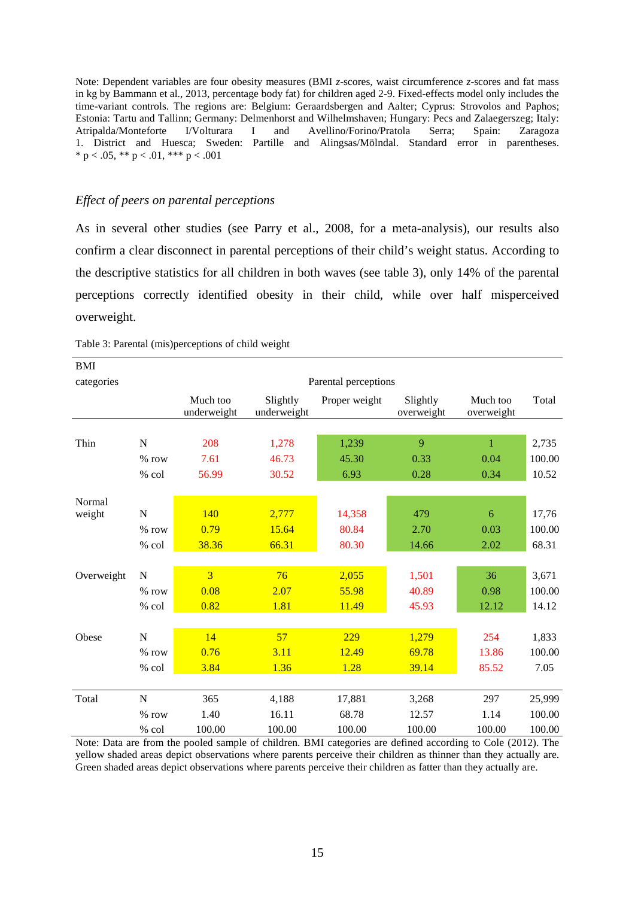Note: Dependent variables are four obesity measures (BMI *z*-scores, waist circumference *z*-scores and fat mass in kg by Bammann et al., 2013, percentage body fat) for children aged 2-9. Fixed-effects model only includes the time-variant controls. The regions are: Belgium: Geraardsbergen and Aalter; Cyprus: Strovolos and Paphos; Estonia: Tartu and Tallinn; Germany: Delmenhorst and Wilhelmshaven; Hungary: Pecs and Zalaegerszeg; Italy: Atripalda/Monteforte I/Volturara I and Avellino/Forino/Pratola Serra; Spain: Zaragoza 1. District and Huesca; Sweden: Partille and Alingsas/Mölndal. Standard error in parentheses. \* p < .05, \*\* p < .01, \*\*\* p < .001

#### *Effect of peers on parental perceptions*

As in several other studies (see Parry et al., 2008, for a meta-analysis), our results also confirm a clear disconnect in parental perceptions of their child's weight status. According to the descriptive statistics for all children in both waves (see table 3), only 14% of the parental perceptions correctly identified obesity in their child, while over half misperceived overweight.

| BMI              |                |                         |                         |                      |                        |                        |        |
|------------------|----------------|-------------------------|-------------------------|----------------------|------------------------|------------------------|--------|
| categories       |                |                         |                         | Parental perceptions |                        |                        |        |
|                  |                | Much too<br>underweight | Slightly<br>underweight | Proper weight        | Slightly<br>overweight | Much too<br>overweight | Total  |
|                  |                |                         |                         |                      |                        |                        |        |
| Thin             | N              | 208                     | 1,278                   | 1,239                | 9                      | $\mathbf{1}$           | 2,735  |
|                  | $%$ row        | 7.61                    | 46.73                   | 45.30                | 0.33                   | 0.04                   | 100.00 |
|                  | $%$ col        | 56.99                   | 30.52                   | 6.93                 | 0.28                   | 0.34                   | 10.52  |
|                  |                |                         |                         |                      |                        |                        |        |
| Normal<br>weight | N              | 140                     | 2,777                   | 14,358               | 479                    | 6                      | 17,76  |
|                  | $%$ row        | 0.79                    | 15.64                   | 80.84                | 2.70                   | 0.03                   | 100.00 |
|                  | % col          | 38.36                   | 66.31                   | 80.30                | 14.66                  | 2.02                   | 68.31  |
|                  |                |                         |                         |                      |                        |                        |        |
| Overweight       | $\mathbf N$    | $\overline{3}$          | 76                      | 2,055                | 1,501                  | 36                     | 3,671  |
|                  | $%$ row        | 0.08                    | 2.07                    | 55.98                | 40.89                  | 0.98                   | 100.00 |
|                  | % col          | 0.82                    | 1.81                    | 11.49                | 45.93                  | 12.12                  | 14.12  |
|                  |                |                         |                         |                      |                        |                        |        |
| Obese            | $\overline{N}$ | 14                      | 57                      | 229                  | 1,279                  | 254                    | 1,833  |
|                  | $\%$ row       | 0.76                    | 3.11                    | 12.49                | 69.78                  | 13.86                  | 100.00 |
|                  | % col          | 3.84                    | 1.36                    | 1.28                 | 39.14                  | 85.52                  | 7.05   |
|                  |                |                         |                         |                      |                        |                        |        |
| Total            | $\mathbf N$    | 365                     | 4,188                   | 17,881               | 3,268                  | 297                    | 25,999 |
|                  | $%$ row        | 1.40                    | 16.11                   | 68.78                | 12.57                  | 1.14                   | 100.00 |
|                  | % col          | 100.00                  | 100.00                  | 100.00               | 100.00                 | 100.00                 | 100.00 |

| Table 3: Parental (mis)perceptions of child weight |  |  |  |
|----------------------------------------------------|--|--|--|
|----------------------------------------------------|--|--|--|

Note: Data are from the pooled sample of children. BMI categories are defined according to Cole (2012). The yellow shaded areas depict observations where parents perceive their children as thinner than they actually are. Green shaded areas depict observations where parents perceive their children as fatter than they actually are.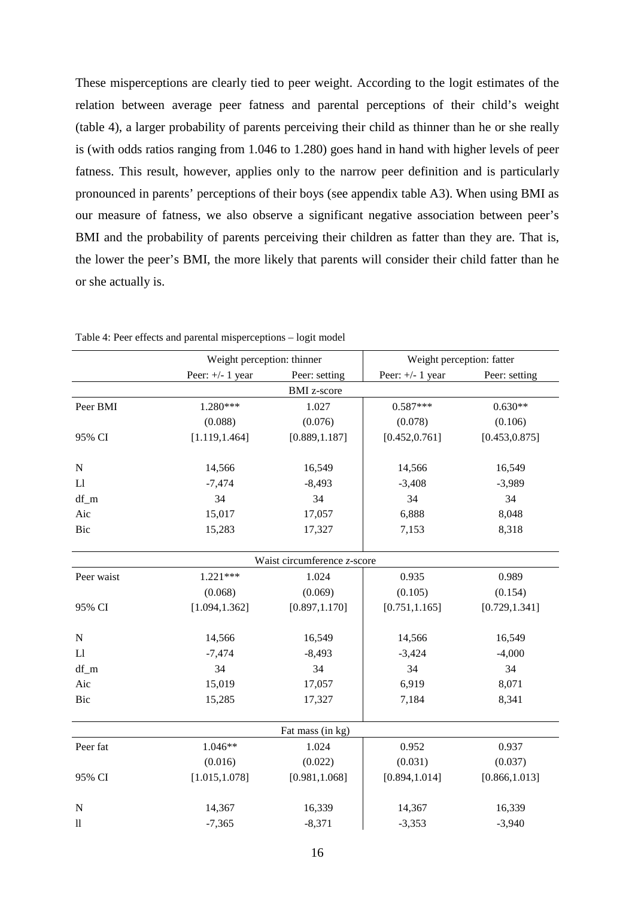These misperceptions are clearly tied to peer weight. According to the logit estimates of the relation between average peer fatness and parental perceptions of their child's weight (table 4), a larger probability of parents perceiving their child as thinner than he or she really is (with odds ratios ranging from 1.046 to 1.280) goes hand in hand with higher levels of peer fatness. This result, however, applies only to the narrow peer definition and is particularly pronounced in parents' perceptions of their boys (see appendix table A3). When using BMI as our measure of fatness, we also observe a significant negative association between peer's BMI and the probability of parents perceiving their children as fatter than they are. That is, the lower the peer's BMI, the more likely that parents will consider their child fatter than he or she actually is.

|                    | Weight perception: thinner |                             | Weight perception: fatter |                |  |  |  |  |  |  |  |
|--------------------|----------------------------|-----------------------------|---------------------------|----------------|--|--|--|--|--|--|--|
|                    | Peer: $+/- 1$ year         | Peer: setting               | Peer: $+/- 1$ year        | Peer: setting  |  |  |  |  |  |  |  |
| <b>BMI</b> z-score |                            |                             |                           |                |  |  |  |  |  |  |  |
| Peer BMI           | $1.280***$                 | 1.027                       | $0.587***$                | $0.630**$      |  |  |  |  |  |  |  |
|                    | (0.088)                    | (0.076)                     | (0.078)                   | (0.106)        |  |  |  |  |  |  |  |
| 95% CI             | [1.119, 1.464]             | [0.889, 1.187]              | [0.452, 0.761]            | [0.453, 0.875] |  |  |  |  |  |  |  |
| ${\bf N}$          | 14,566                     | 16,549                      | 14,566                    | 16,549         |  |  |  |  |  |  |  |
| L1                 | $-7,474$                   | $-8,493$                    | $-3,408$                  | $-3,989$       |  |  |  |  |  |  |  |
| $df_m$             | 34                         | 34                          | 34                        | 34             |  |  |  |  |  |  |  |
| Aic                | 15,017                     | 17,057                      | 6,888                     | 8,048          |  |  |  |  |  |  |  |
| Bic                | 15,283                     | 17,327                      | 7,153                     | 8,318          |  |  |  |  |  |  |  |
|                    |                            | Waist circumference z-score |                           |                |  |  |  |  |  |  |  |
| Peer waist         | $1.221***$                 | 1.024                       | 0.935                     | 0.989          |  |  |  |  |  |  |  |
|                    | (0.068)                    | (0.069)                     | (0.105)                   | (0.154)        |  |  |  |  |  |  |  |
| 95% CI             | [1.094, 1.362]             | [0.897, 1.170]              | [0.751, 1.165]            | [0.729, 1.341] |  |  |  |  |  |  |  |
| ${\bf N}$          | 14,566                     | 16,549                      | 14,566                    | 16,549         |  |  |  |  |  |  |  |
| L1                 | $-7,474$                   | $-8,493$                    | $-3,424$                  | $-4,000$       |  |  |  |  |  |  |  |
| $df_m$             | 34                         | 34                          | 34                        | 34             |  |  |  |  |  |  |  |
| Aic                | 15,019                     | 17,057                      | 6,919                     | 8,071          |  |  |  |  |  |  |  |
| Bic                | 15,285                     | 17,327                      | 7,184                     | 8,341          |  |  |  |  |  |  |  |
|                    |                            | Fat mass (in kg)            |                           |                |  |  |  |  |  |  |  |
| Peer fat           | $1.046**$                  | 1.024                       | 0.952                     | 0.937          |  |  |  |  |  |  |  |
|                    | (0.016)                    | (0.022)                     | (0.031)                   | (0.037)        |  |  |  |  |  |  |  |
| 95% CI             | [1.015, 1.078]             | [0.981, 1.068]              | [0.894, 1.014]            | [0.866, 1.013] |  |  |  |  |  |  |  |
| $\mathbf N$        | 14,367                     | 16,339                      | 14,367                    | 16,339         |  |  |  |  |  |  |  |
| $_{\rm ll}$        | $-7,365$                   | $-8,371$                    | $-3,353$                  | $-3,940$       |  |  |  |  |  |  |  |

Table 4: Peer effects and parental misperceptions – logit model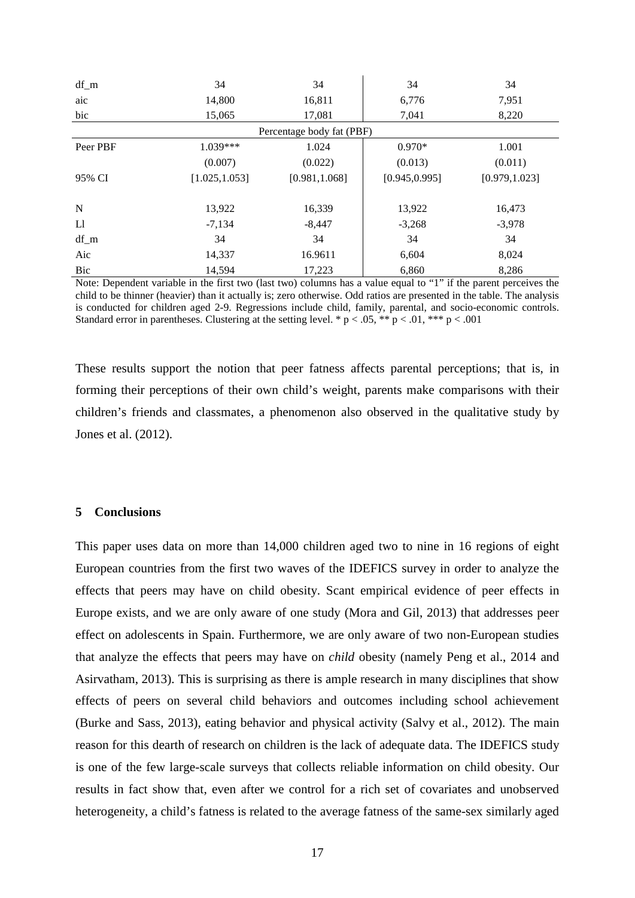| $df_m$                    | 34             | 34             | 34             | 34             |  |  |  |  |  |  |  |
|---------------------------|----------------|----------------|----------------|----------------|--|--|--|--|--|--|--|
| aic                       | 14,800         | 16,811         | 6,776          | 7,951          |  |  |  |  |  |  |  |
| bic                       | 15,065         | 17,081         | 7,041          | 8,220          |  |  |  |  |  |  |  |
| Percentage body fat (PBF) |                |                |                |                |  |  |  |  |  |  |  |
| Peer PBF                  | 1.039***       | 1.024          | $0.970*$       | 1.001          |  |  |  |  |  |  |  |
|                           | (0.007)        | (0.022)        | (0.013)        | (0.011)        |  |  |  |  |  |  |  |
| 95% CI                    | [1.025, 1.053] | [0.981, 1.068] | [0.945, 0.995] | [0.979, 1.023] |  |  |  |  |  |  |  |
| N                         | 13,922         | 16,339         | 13,922         | 16,473         |  |  |  |  |  |  |  |
| $_{\rm L1}$               | $-7,134$       | $-8,447$       | $-3,268$       | $-3,978$       |  |  |  |  |  |  |  |
| $df_m$                    | 34             | 34             | 34             | 34             |  |  |  |  |  |  |  |
| Aic                       | 14,337         | 16.9611        | 6,604          | 8,024          |  |  |  |  |  |  |  |
| Bic                       | 14,594         | 17,223         | 6,860          | 8,286          |  |  |  |  |  |  |  |

Note: Dependent variable in the first two (last two) columns has a value equal to "1" if the parent perceives the child to be thinner (heavier) than it actually is; zero otherwise. Odd ratios are presented in the table. The analysis is conducted for children aged 2-9. Regressions include child, family, parental, and socio-economic controls. Standard error in parentheses. Clustering at the setting level. \*  $p < .05$ , \*\*  $p < .01$ , \*\*\*  $p < .001$ 

These results support the notion that peer fatness affects parental perceptions; that is, in forming their perceptions of their own child's weight, parents make comparisons with their children's friends and classmates, a phenomenon also observed in the qualitative study by Jones et al. (2012).

#### **5 Conclusions**

This paper uses data on more than 14,000 children aged two to nine in 16 regions of eight European countries from the first two waves of the IDEFICS survey in order to analyze the effects that peers may have on child obesity. Scant empirical evidence of peer effects in Europe exists, and we are only aware of one study (Mora and Gil, 2013) that addresses peer effect on adolescents in Spain. Furthermore, we are only aware of two non-European studies that analyze the effects that peers may have on *child* obesity (namely Peng et al., 2014 and Asirvatham, 2013). This is surprising as there is ample research in many disciplines that show effects of peers on several child behaviors and outcomes including school achievement (Burke and Sass, 2013), eating behavior and physical activity (Salvy et al., 2012). The main reason for this dearth of research on children is the lack of adequate data. The IDEFICS study is one of the few large-scale surveys that collects reliable information on child obesity. Our results in fact show that, even after we control for a rich set of covariates and unobserved heterogeneity, a child's fatness is related to the average fatness of the same-sex similarly aged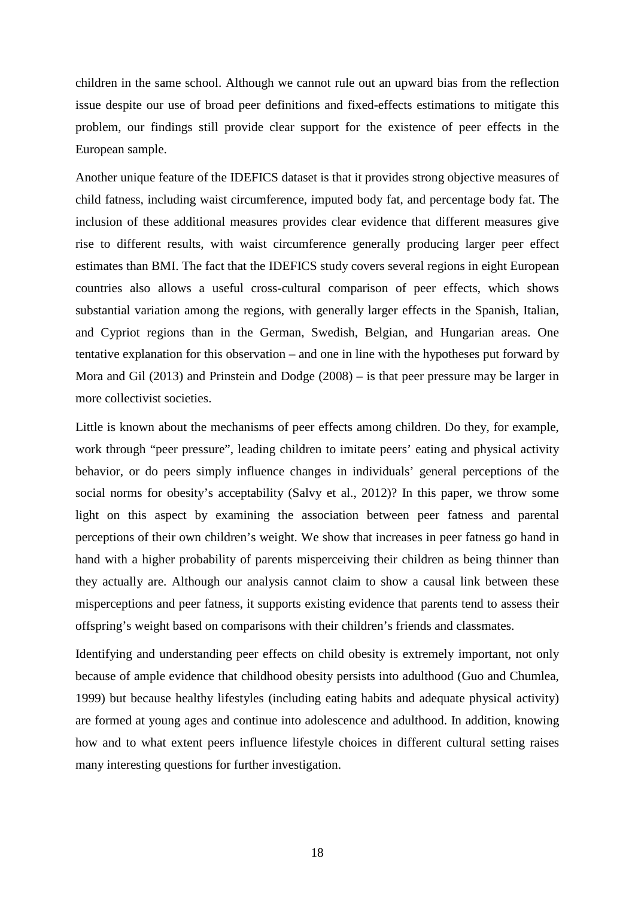children in the same school. Although we cannot rule out an upward bias from the reflection issue despite our use of broad peer definitions and fixed-effects estimations to mitigate this problem, our findings still provide clear support for the existence of peer effects in the European sample.

Another unique feature of the IDEFICS dataset is that it provides strong objective measures of child fatness, including waist circumference, imputed body fat, and percentage body fat. The inclusion of these additional measures provides clear evidence that different measures give rise to different results, with waist circumference generally producing larger peer effect estimates than BMI. The fact that the IDEFICS study covers several regions in eight European countries also allows a useful cross-cultural comparison of peer effects, which shows substantial variation among the regions, with generally larger effects in the Spanish, Italian, and Cypriot regions than in the German, Swedish, Belgian, and Hungarian areas. One tentative explanation for this observation – and one in line with the hypotheses put forward by Mora and Gil (2013) and Prinstein and Dodge (2008) – is that peer pressure may be larger in more collectivist societies.

Little is known about the mechanisms of peer effects among children. Do they, for example, work through "peer pressure", leading children to imitate peers' eating and physical activity behavior, or do peers simply influence changes in individuals' general perceptions of the social norms for obesity's acceptability (Salvy et al., 2012)? In this paper, we throw some light on this aspect by examining the association between peer fatness and parental perceptions of their own children's weight. We show that increases in peer fatness go hand in hand with a higher probability of parents misperceiving their children as being thinner than they actually are. Although our analysis cannot claim to show a causal link between these misperceptions and peer fatness, it supports existing evidence that parents tend to assess their offspring's weight based on comparisons with their children's friends and classmates.

Identifying and understanding peer effects on child obesity is extremely important, not only because of ample evidence that childhood obesity persists into adulthood (Guo and Chumlea, 1999) but because healthy lifestyles (including eating habits and adequate physical activity) are formed at young ages and continue into adolescence and adulthood. In addition, knowing how and to what extent peers influence lifestyle choices in different cultural setting raises many interesting questions for further investigation.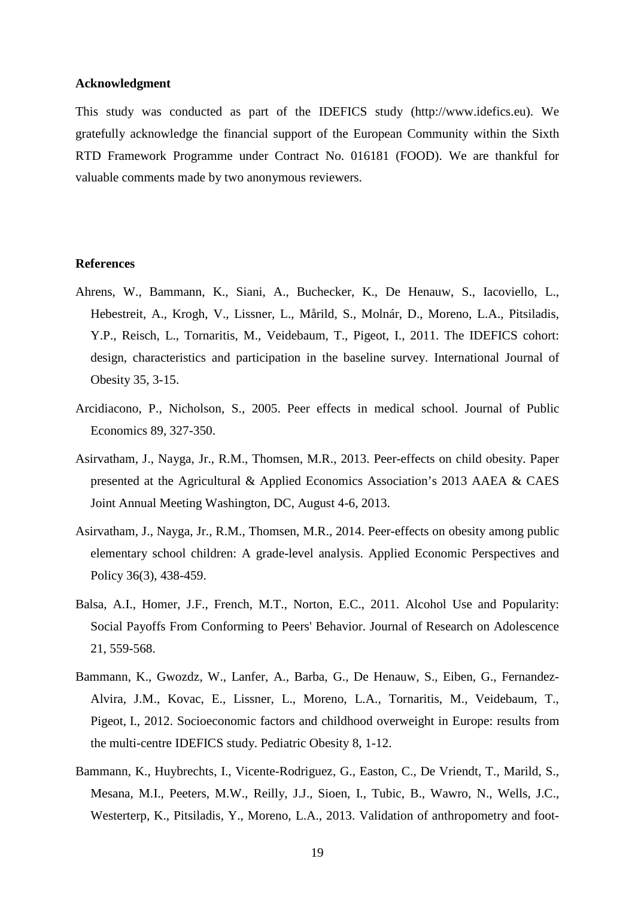#### **Acknowledgment**

This study was conducted as part of the IDEFICS study (http://www.idefics.eu). We gratefully acknowledge the financial support of the European Community within the Sixth RTD Framework Programme under Contract No. 016181 (FOOD). We are thankful for valuable comments made by two anonymous reviewers.

#### **References**

- Ahrens, W., Bammann, K., Siani, A., Buchecker, K., De Henauw, S., Iacoviello, L., Hebestreit, A., Krogh, V., Lissner, L., Mårild, S., Molnár, D., Moreno, L.A., Pitsiladis, Y.P., Reisch, L., Tornaritis, M., Veidebaum, T., Pigeot, I., 2011. The IDEFICS cohort: design, characteristics and participation in the baseline survey. International Journal of Obesity 35, 3-15.
- Arcidiacono, P., Nicholson, S., 2005. Peer effects in medical school. Journal of Public Economics 89, 327-350.
- Asirvatham, J., Nayga, Jr., R.M., Thomsen, M.R., 2013. Peer-effects on child obesity. Paper presented at the Agricultural & Applied Economics Association's 2013 AAEA & CAES Joint Annual Meeting Washington, DC, August 4-6, 2013.
- Asirvatham, J., Nayga, Jr., R.M., Thomsen, M.R., 2014. Peer-effects on obesity among public elementary school children: A grade-level analysis. Applied Economic Perspectives and Policy 36(3), 438-459.
- Balsa, A.I., Homer, J.F., French, M.T., Norton, E.C., 2011. Alcohol Use and Popularity: Social Payoffs From Conforming to Peers' Behavior. Journal of Research on Adolescence 21, 559-568.
- Bammann, K., Gwozdz, W., Lanfer, A., Barba, G., De Henauw, S., Eiben, G., Fernandez-Alvira, J.M., Kovac, E., Lissner, L., Moreno, L.A., Tornaritis, M., Veidebaum, T., Pigeot, I., 2012. Socioeconomic factors and childhood overweight in Europe: results from the multi-centre IDEFICS study. Pediatric Obesity 8, 1-12.
- Bammann, K., Huybrechts, I., Vicente-Rodriguez, G., Easton, C., De Vriendt, T., Marild, S., Mesana, M.I., Peeters, M.W., Reilly, J.J., Sioen, I., Tubic, B., Wawro, N., Wells, J.C., Westerterp, K., Pitsiladis, Y., Moreno, L.A., 2013. Validation of anthropometry and foot-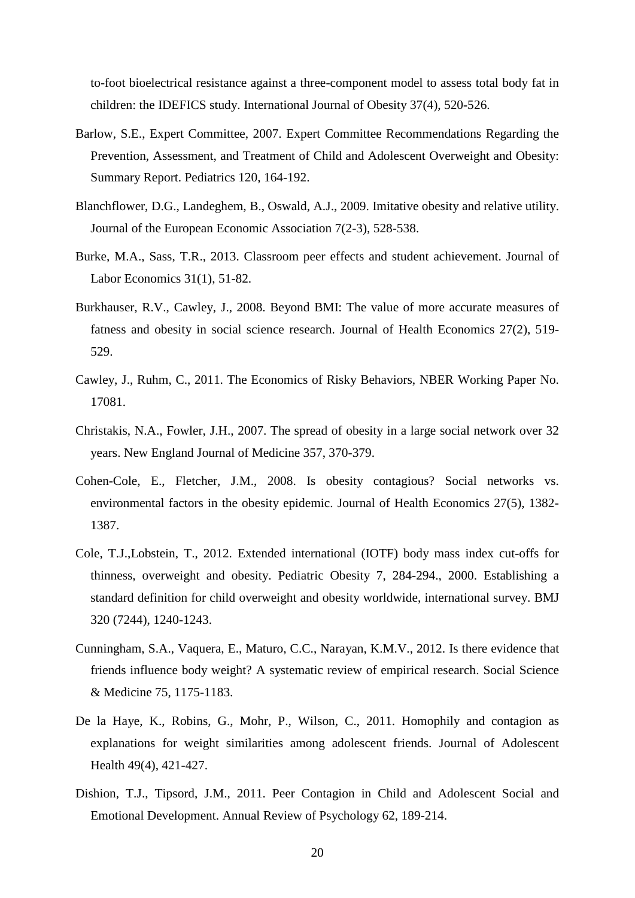to-foot bioelectrical resistance against a three-component model to assess total body fat in children: the IDEFICS study. International Journal of Obesity 37(4), 520-526.

- Barlow, S.E., Expert Committee, 2007. Expert Committee Recommendations Regarding the Prevention, Assessment, and Treatment of Child and Adolescent Overweight and Obesity: Summary Report. Pediatrics 120, 164-192.
- Blanchflower, D.G., Landeghem, B., Oswald, A.J., 2009. Imitative obesity and relative utility. Journal of the European Economic Association 7(2-3), 528-538.
- Burke, M.A., Sass, T.R., 2013. Classroom peer effects and student achievement. Journal of Labor Economics 31(1), 51-82.
- Burkhauser, R.V., Cawley, J., 2008. Beyond BMI: The value of more accurate measures of fatness and obesity in social science research. Journal of Health Economics 27(2), 519- 529.
- Cawley, J., Ruhm, C., 2011. The Economics of Risky Behaviors, NBER Working Paper No. 17081.
- Christakis, N.A., Fowler, J.H., 2007. The spread of obesity in a large social network over 32 years. New England Journal of Medicine 357, 370-379.
- Cohen-Cole, E., Fletcher, J.M., 2008. Is obesity contagious? Social networks vs. environmental factors in the obesity epidemic. Journal of Health Economics 27(5), 1382- 1387.
- Cole, T.J.,Lobstein, T., 2012. Extended international (IOTF) body mass index cut-offs for thinness, overweight and obesity. Pediatric Obesity 7, 284-294., 2000. Establishing a standard definition for child overweight and obesity worldwide, international survey. BMJ 320 (7244), 1240-1243.
- Cunningham, S.A., Vaquera, E., Maturo, C.C., Narayan, K.M.V., 2012. Is there evidence that friends influence body weight? A systematic review of empirical research. Social Science & Medicine 75, 1175-1183.
- De la Haye, K., Robins, G., Mohr, P., Wilson, C., 2011. Homophily and contagion as explanations for weight similarities among adolescent friends. Journal of Adolescent Health 49(4), 421-427.
- Dishion, T.J., Tipsord, J.M., 2011. Peer Contagion in Child and Adolescent Social and Emotional Development. Annual Review of Psychology 62, 189-214.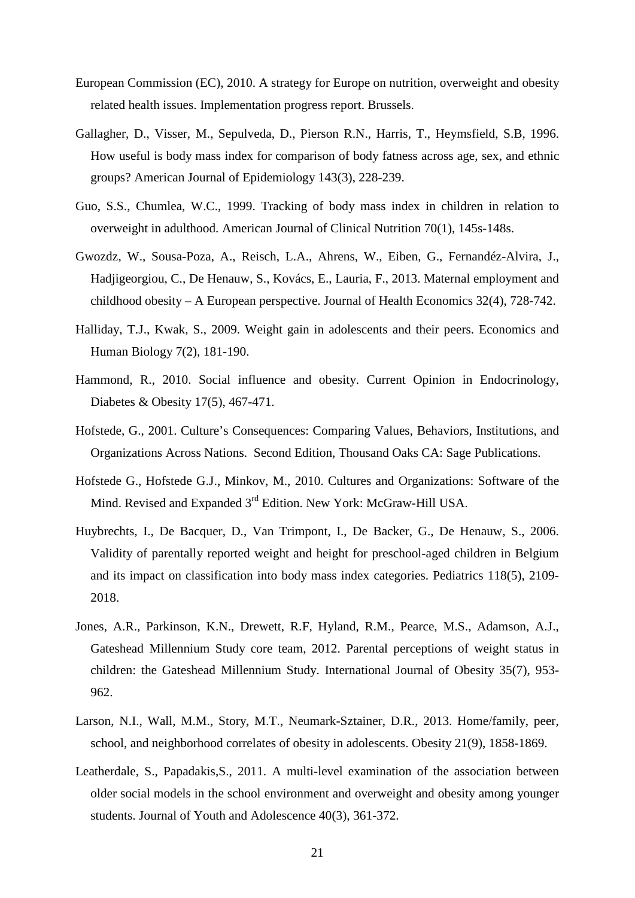- European Commission (EC), 2010. A strategy for Europe on nutrition, overweight and obesity related health issues. Implementation progress report. Brussels.
- Gallagher, D., Visser, M., Sepulveda, D., [Pierson R.N.](http://www.ncbi.nlm.nih.gov/pubmed?term=Pierson%20RN%5BAuthor%5D&cauthor=true&cauthor_uid=8561156), [Harris, T.](http://www.ncbi.nlm.nih.gov/pubmed?term=Harris%20T%5BAuthor%5D&cauthor=true&cauthor_uid=8561156), [Heymsfield, S.B,](http://www.ncbi.nlm.nih.gov/pubmed?term=Heymsfield%20SB%5BAuthor%5D&cauthor=true&cauthor_uid=8561156) 1996. How useful is body mass index for comparison of body fatness across age, sex, and ethnic groups? American Journal of Epidemiology 143(3), 228-239.
- Guo, S.S., Chumlea, W.C., 1999. Tracking of body mass index in children in relation to overweight in adulthood. American Journal of Clinical Nutrition 70(1), 145s-148s.
- Gwozdz, W., Sousa-Poza, A., Reisch, L.A., Ahrens, W., Eiben, G., Fernandéz-Alvira, J., Hadjigeorgiou, C., De Henauw, S., Kovács, E., Lauria, F., 2013. Maternal employment and childhood obesity – A European perspective. Journal of Health Economics 32(4), 728-742.
- Halliday, T.J., Kwak, S., 2009. Weight gain in adolescents and their peers. Economics and Human Biology 7(2), 181-190.
- Hammond, R., 2010. Social influence and obesity. Current Opinion in Endocrinology, Diabetes & Obesity 17(5), 467-471.
- Hofstede, G., 2001. Culture's Consequences: Comparing Values, Behaviors, Institutions, and Organizations Across Nations. Second Edition, Thousand Oaks CA: Sage Publications.
- Hofstede G., Hofstede G.J., Minkov, M., 2010. Cultures and Organizations: Software of the Mind. Revised and Expanded 3rd Edition. New York: McGraw-Hill USA.
- Huybrechts, I., De Bacquer, D., Van Trimpont, I., De Backer, G., De Henauw, S., 2006. Validity of parentally reported weight and height for preschool-aged children in Belgium and its impact on classification into body mass index categories. Pediatrics 118(5), 2109- 2018.
- Jones, A.R., Parkinson, K.N., Drewett, R.F, Hyland, R.M., Pearce, M.S., Adamson, A.J., Gateshead Millennium Study core team, 2012. Parental perceptions of weight status in children: the Gateshead Millennium Study. International Journal of Obesity 35(7), 953- 962.
- Larson, N.I., Wall, M.M., Story, M.T., Neumark-Sztainer, D.R., 2013. Home/family, peer, school, and neighborhood correlates of obesity in adolescents. Obesity 21(9), 1858-1869.
- Leatherdale, S., Papadakis,S., 2011. A multi-level examination of the association between older social models in the school environment and overweight and obesity among younger students. Journal of Youth and Adolescence 40(3), 361-372.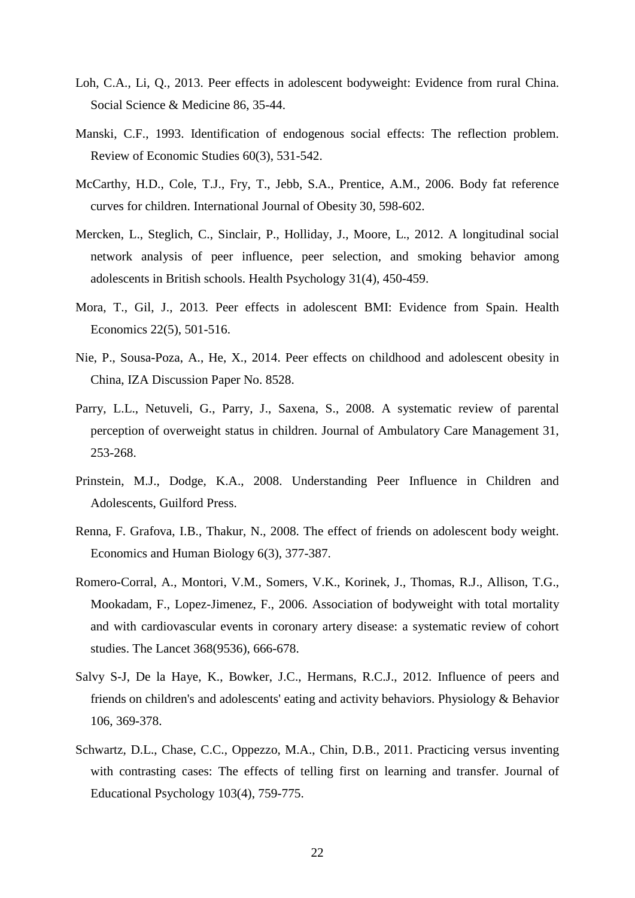- Loh, C.A., Li, Q., 2013. Peer effects in adolescent bodyweight: Evidence from rural China. Social Science & Medicine 86, 35-44.
- Manski, C.F., 1993. Identification of endogenous social effects: The reflection problem. Review of Economic Studies 60(3), 531-542.
- McCarthy, H.D., Cole, T.J., Fry, T., Jebb, S.A., Prentice, A.M., 2006. Body fat reference curves for children. International Journal of Obesity 30, 598-602.
- Mercken, L., Steglich, C., Sinclair, P., Holliday, J., Moore, L., 2012. A longitudinal social network analysis of peer influence, peer selection, and smoking behavior among adolescents in British schools. Health Psychology 31(4), 450-459.
- Mora, T., Gil, J., 2013. Peer effects in adolescent BMI: Evidence from Spain. Health Economics 22(5), 501-516.
- Nie, P., Sousa-Poza, A., He, X., 2014. Peer effects on childhood and adolescent obesity in China, IZA Discussion Paper No. 8528.
- Parry, L.L., Netuveli, G., Parry, J., Saxena, S., 2008. A systematic review of parental perception of overweight status in children. Journal of Ambulatory Care Management 31, 253-268.
- Prinstein, M.J., Dodge, K.A., 2008. Understanding Peer Influence in Children and Adolescents, Guilford Press.
- Renna, F. Grafova, I.B., Thakur, N., 2008. The effect of friends on adolescent body weight. Economics and Human Biology 6(3), 377-387.
- Romero-Corral, A., Montori, V.M., Somers, V.K., Korinek, J., Thomas, R.J., Allison, T.G., Mookadam, F., Lopez-Jimenez, F., 2006. Association of bodyweight with total mortality and with cardiovascular events in coronary artery disease: a systematic review of cohort studies. The Lancet 368(9536), 666-678.
- Salvy S-J, De la Haye, K., Bowker, J.C., Hermans, R.C.J., 2012. Influence of peers and friends on children's and adolescents' eating and activity behaviors. Physiology & Behavior 106, 369-378.
- Schwartz, D.L., Chase, C.C., Oppezzo, M.A., Chin, D.B., 2011. Practicing versus inventing with contrasting cases: The effects of telling first on learning and transfer. Journal of Educational Psychology 103(4), 759-775.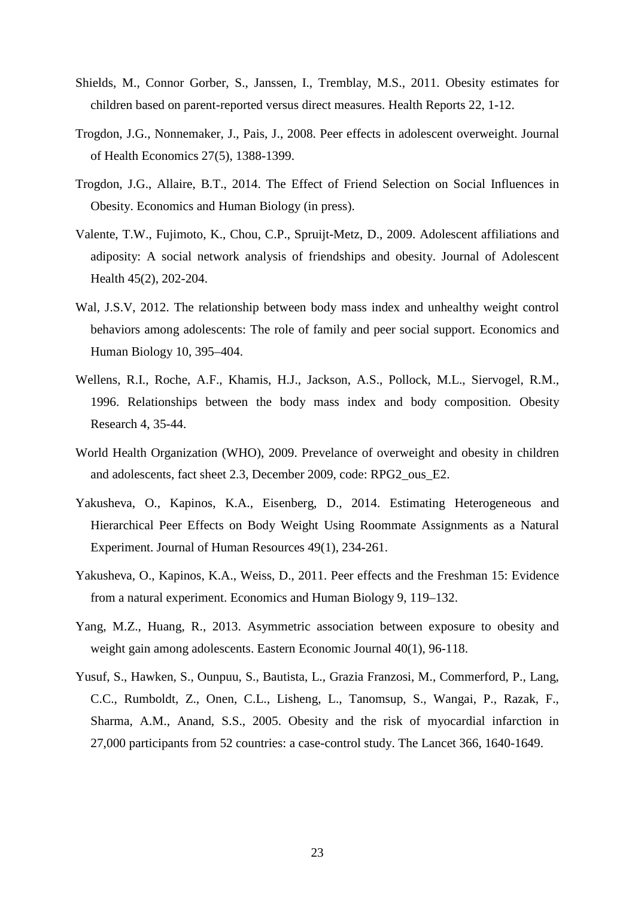- Shields, M., Connor Gorber, S., Janssen, I., Tremblay, M.S., 2011. Obesity estimates for children based on parent-reported versus direct measures. Health Reports 22, 1-12.
- Trogdon, J.G., Nonnemaker, J., Pais, J., 2008. Peer effects in adolescent overweight. Journal of Health Economics 27(5), 1388-1399.
- Trogdon, J.G., Allaire, B.T., 2014. The Effect of Friend Selection on Social Influences in Obesity. Economics and Human Biology (in press).
- Valente, T.W., Fujimoto, K., Chou, C.P., Spruijt-Metz, D., 2009. Adolescent affiliations and adiposity: A social network analysis of friendships and obesity. Journal of Adolescent Health 45(2), 202-204.
- Wal, J.S.V, 2012. The relationship between body mass index and unhealthy weight control behaviors among adolescents: The role of family and peer social support. Economics and Human Biology 10, 395–404.
- Wellens, R.I., Roche, A.F., Khamis, H.J., Jackson, A.S., Pollock, M.L., Siervogel, R.M., 1996. Relationships between the body mass index and body composition. Obesity Research 4, 35-44.
- World Health Organization (WHO), 2009. Prevelance of overweight and obesity in children and adolescents, fact sheet 2.3, December 2009, code: RPG2\_ous\_E2.
- Yakusheva, O., Kapinos, K.A., Eisenberg, D., 2014. Estimating Heterogeneous and Hierarchical Peer Effects on Body Weight Using Roommate Assignments as a Natural Experiment. Journal of Human Resources 49(1), 234-261.
- Yakusheva, O., Kapinos, K.A., Weiss, D., 2011. Peer effects and the Freshman 15: Evidence from a natural experiment. Economics and Human Biology 9, 119–132.
- Yang, M.Z., Huang, R., 2013. Asymmetric association between exposure to obesity and weight gain among adolescents. Eastern Economic Journal 40(1), 96-118.
- Yusuf, S., Hawken, S., Ounpuu, S., Bautista, L., Grazia Franzosi, M., Commerford, P., Lang, C.C., Rumboldt, Z., Onen, C.L., Lisheng, L., Tanomsup, S., Wangai, P., Razak, F., Sharma, A.M., Anand, S.S., 2005. Obesity and the risk of myocardial infarction in 27,000 participants from 52 countries: a case-control study. The Lancet 366, 1640-1649.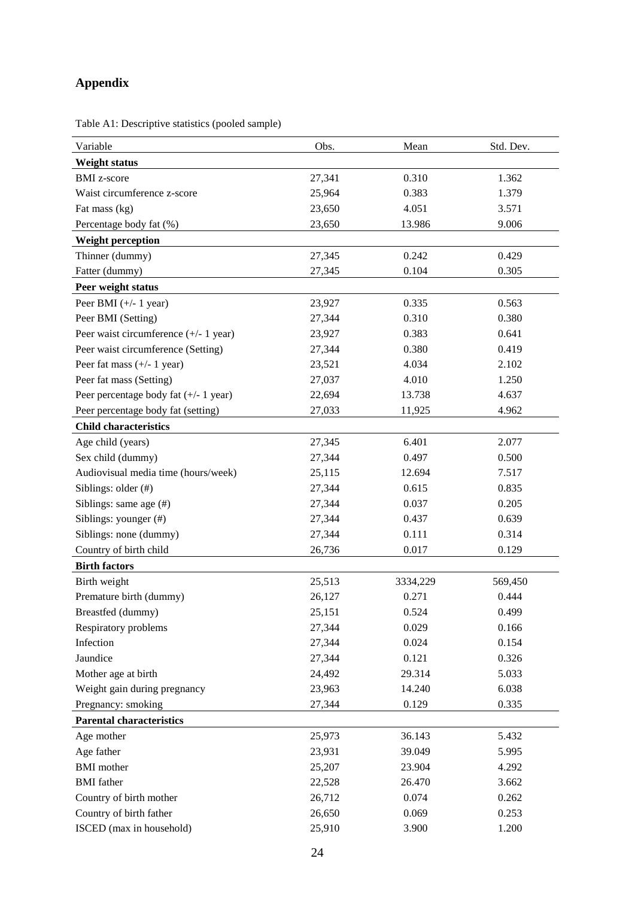# **Appendix**

Table A1: Descriptive statistics (pooled sample)

| Variable                                | Obs.   | Mean     | Std. Dev. |
|-----------------------------------------|--------|----------|-----------|
| <b>Weight status</b>                    |        |          |           |
| <b>BMI</b> z-score                      | 27,341 | 0.310    | 1.362     |
| Waist circumference z-score             | 25,964 | 0.383    | 1.379     |
| Fat mass (kg)                           | 23,650 | 4.051    | 3.571     |
| Percentage body fat (%)                 | 23,650 | 13.986   | 9.006     |
| <b>Weight perception</b>                |        |          |           |
| Thinner (dummy)                         | 27,345 | 0.242    | 0.429     |
| Fatter (dummy)                          | 27,345 | 0.104    | 0.305     |
| Peer weight status                      |        |          |           |
| Peer BMI (+/- 1 year)                   | 23,927 | 0.335    | 0.563     |
| Peer BMI (Setting)                      | 27,344 | 0.310    | 0.380     |
| Peer waist circumference $(+/- 1$ year) | 23,927 | 0.383    | 0.641     |
| Peer waist circumference (Setting)      | 27,344 | 0.380    | 0.419     |
| Peer fat mass $(+/- 1$ year)            | 23,521 | 4.034    | 2.102     |
| Peer fat mass (Setting)                 | 27,037 | 4.010    | 1.250     |
| Peer percentage body fat $(+/- 1$ year) | 22,694 | 13.738   | 4.637     |
| Peer percentage body fat (setting)      | 27,033 | 11,925   | 4.962     |
| <b>Child characteristics</b>            |        |          |           |
| Age child (years)                       | 27,345 | 6.401    | 2.077     |
| Sex child (dummy)                       | 27,344 | 0.497    | 0.500     |
| Audiovisual media time (hours/week)     | 25,115 | 12.694   | 7.517     |
| Siblings: older (#)                     | 27,344 | 0.615    | 0.835     |
| Siblings: same age $(\#)$               | 27,344 | 0.037    | 0.205     |
| Siblings: younger (#)                   | 27,344 | 0.437    | 0.639     |
| Siblings: none (dummy)                  | 27,344 | 0.111    | 0.314     |
| Country of birth child                  | 26,736 | 0.017    | 0.129     |
| <b>Birth factors</b>                    |        |          |           |
| Birth weight                            | 25,513 | 3334,229 | 569,450   |
| Premature birth (dummy)                 | 26,127 | 0.271    | 0.444     |
| Breastfed (dummy)                       | 25,151 | 0.524    | 0.499     |
| Respiratory problems                    | 27,344 | 0.029    | 0.166     |
| Infection                               | 27,344 | 0.024    | 0.154     |
| Jaundice                                | 27,344 | 0.121    | 0.326     |
| Mother age at birth                     | 24,492 | 29.314   | 5.033     |
| Weight gain during pregnancy            | 23,963 | 14.240   | 6.038     |
| Pregnancy: smoking                      | 27,344 | 0.129    | 0.335     |
| <b>Parental characteristics</b>         |        |          |           |
| Age mother                              | 25,973 | 36.143   | 5.432     |
| Age father                              | 23,931 | 39.049   | 5.995     |
| <b>BMI</b> mother                       | 25,207 | 23.904   | 4.292     |
| <b>BMI</b> father                       | 22,528 | 26.470   | 3.662     |
| Country of birth mother                 | 26,712 | 0.074    | 0.262     |
| Country of birth father                 | 26,650 | 0.069    | 0.253     |
| ISCED (max in household)                | 25,910 | 3.900    | 1.200     |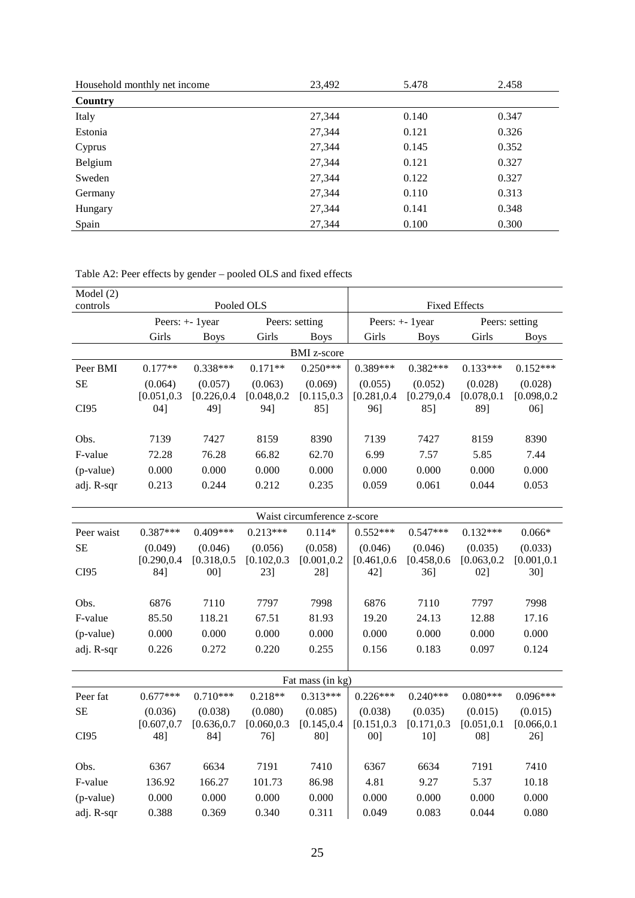| Household monthly net income | 23,492 | 5.478 | 2.458 |
|------------------------------|--------|-------|-------|
| <b>Country</b>               |        |       |       |
| Italy                        | 27,344 | 0.140 | 0.347 |
| Estonia                      | 27,344 | 0.121 | 0.326 |
| Cyprus                       | 27,344 | 0.145 | 0.352 |
| Belgium                      | 27,344 | 0.121 | 0.327 |
| Sweden                       | 27,344 | 0.122 | 0.327 |
| Germany                      | 27,344 | 0.110 | 0.313 |
| Hungary                      | 27,344 | 0.141 | 0.348 |
| Spain                        | 27,344 | 0.100 | 0.300 |

Table A2: Peer effects by gender – pooled OLS and fixed effects

| Model $(2)$        |              |                |              |                             |              |                      |              |                |  |  |
|--------------------|--------------|----------------|--------------|-----------------------------|--------------|----------------------|--------------|----------------|--|--|
| controls           | Pooled OLS   |                |              |                             |              | <b>Fixed Effects</b> |              |                |  |  |
|                    |              | Peers: +-1year |              | Peers: setting              |              | Peers: +-1year       |              | Peers: setting |  |  |
|                    | Girls        | <b>Boys</b>    | Girls        | <b>Boys</b>                 | Girls        | <b>Boys</b>          | Girls        | <b>Boys</b>    |  |  |
| <b>BMI</b> z-score |              |                |              |                             |              |                      |              |                |  |  |
| Peer BMI           | $0.177**$    | $0.338***$     | $0.171**$    | $0.250***$                  | $0.389***$   | $0.382***$           | $0.133***$   | $0.152***$     |  |  |
| $\rm SE$           | (0.064)      | (0.057)        | (0.063)      | (0.069)                     | (0.055)      | (0.052)              | (0.028)      | (0.028)        |  |  |
|                    | [0.051, 0.3] | [0.226, 0.4]   | [0.048, 0.2] | [0.115, 0.3]                | [0.281, 0.4] | [0.279, 0.4]         | [0.078, 0.1] | [0.098, 0.2]   |  |  |
| CI95               | 04]          | 49]            | 94]          | 85]                         | 96]          | 85]                  | 89]          | 06]            |  |  |
|                    |              |                |              |                             |              |                      |              |                |  |  |
| Obs.               | 7139         | 7427           | 8159         | 8390                        | 7139         | 7427                 | 8159         | 8390           |  |  |
| F-value            | 72.28        | 76.28          | 66.82        | 62.70                       | 6.99         | 7.57                 | 5.85         | 7.44           |  |  |
| (p-value)          | 0.000        | 0.000          | 0.000        | 0.000                       | 0.000        | 0.000                | 0.000        | 0.000          |  |  |
| adj. R-sqr         | 0.213        | 0.244          | 0.212        | 0.235                       | 0.059        | 0.061                | 0.044        | 0.053          |  |  |
|                    |              |                |              |                             |              |                      |              |                |  |  |
|                    |              |                |              | Waist circumference z-score |              |                      |              |                |  |  |
| Peer waist         | $0.387***$   | $0.409***$     | $0.213***$   | $0.114*$                    | $0.552***$   | $0.547***$           | $0.132***$   | $0.066*$       |  |  |
| SE                 | (0.049)      | (0.046)        | (0.056)      | (0.058)                     | (0.046)      | (0.046)              | (0.035)      | (0.033)        |  |  |
|                    | [0.290, 0.4] | [0.318, 0.5]   | [0.102, 0.3] | [0.001, 0.2]                | [0.461, 0.6] | [0.458, 0.6]         | [0.063, 0.2] | [0.001, 0.1]   |  |  |
| CI95               | 84]          | 00]            | 23]          | 28]                         | 42]          | $36$ ]               | $02$ ]       | 30]            |  |  |
|                    |              |                |              |                             |              |                      |              |                |  |  |
| Obs.               | 6876         | 7110           | 7797         | 7998                        | 6876         | 7110                 | 7797         | 7998           |  |  |
| F-value            | 85.50        | 118.21         | 67.51        | 81.93                       | 19.20        | 24.13                | 12.88        | 17.16          |  |  |
| (p-value)          | 0.000        | 0.000          | 0.000        | 0.000                       | 0.000        | 0.000                | 0.000        | 0.000          |  |  |
| adj. R-sqr         | 0.226        | 0.272          | 0.220        | 0.255                       | 0.156        | 0.183                | 0.097        | 0.124          |  |  |
|                    |              |                |              |                             |              |                      |              |                |  |  |
|                    |              |                |              | Fat mass (in kg)            |              |                      |              |                |  |  |
| Peer fat           | $0.677***$   | $0.710***$     | $0.218**$    | $0.313***$                  | $0.226***$   | $0.240***$           | $0.080***$   | $0.096***$     |  |  |
| $\rm SE$           | (0.036)      | (0.038)        | (0.080)      | (0.085)                     | (0.038)      | (0.035)              | (0.015)      | (0.015)        |  |  |
|                    | [0.607, 0.7] | [0.636, 0.7]   | [0.060, 0.3] | [0.145, 0.4]                | [0.151, 0.3] | [0.171, 0.3]         | [0.051, 0.1] | [0.066, 0.1]   |  |  |
| CI95               | 48]          | 84]            | 76]          | 80]                         | $00$ ]       | 10]                  | 08]          | $26$ ]         |  |  |
|                    |              |                |              |                             |              |                      |              |                |  |  |
| Obs.               | 6367         | 6634           | 7191         | 7410                        | 6367         | 6634                 | 7191         | 7410           |  |  |
| F-value            | 136.92       | 166.27         | 101.73       | 86.98                       | 4.81         | 9.27                 | 5.37         | 10.18          |  |  |
| (p-value)          | 0.000        | 0.000          | 0.000        | 0.000                       | 0.000        | 0.000                | 0.000        | 0.000          |  |  |
| adj. R-sqr         | 0.388        | 0.369          | 0.340        | 0.311                       | 0.049        | 0.083                | 0.044        | 0.080          |  |  |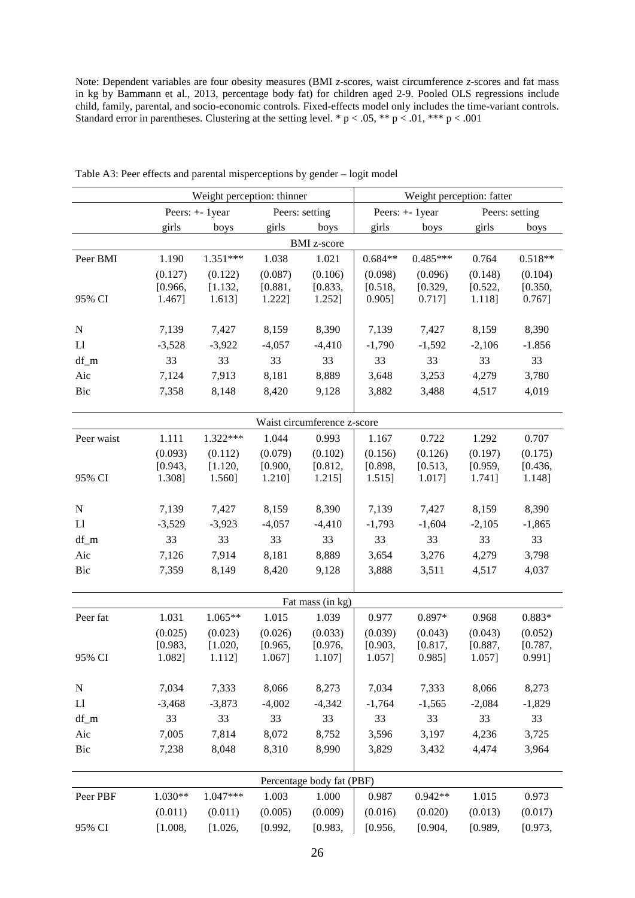Note: Dependent variables are four obesity measures (BMI *z*-scores, waist circumference *z*-scores and fat mass in kg by Bammann et al., 2013, percentage body fat) for children aged 2-9. Pooled OLS regressions include child, family, parental, and socio-economic controls. Fixed-effects model only includes the time-variant controls. Standard error in parentheses. Clustering at the setting level. \*  $p < .05$ , \*\*  $p < .01$ , \*\*\*  $p < .001$ 

|            | Weight perception: thinner |                   |                   |                             | Weight perception: fatter        |                   |                      |                   |  |  |  |
|------------|----------------------------|-------------------|-------------------|-----------------------------|----------------------------------|-------------------|----------------------|-------------------|--|--|--|
|            |                            | Peers: +-1year    |                   | Peers: setting              | Peers: +-1year<br>Peers: setting |                   |                      |                   |  |  |  |
|            | girls                      | boys              | girls             | boys                        | girls                            | boys              | girls                | boys              |  |  |  |
|            | <b>BMI</b> z-score         |                   |                   |                             |                                  |                   |                      |                   |  |  |  |
| Peer BMI   | 1.190                      | 1.351***          | 1.038             | 1.021                       | $0.684**$                        | $0.485***$        | 0.764                | $0.518**$         |  |  |  |
|            | (0.127)                    | (0.122)           | (0.087)           | (0.106)                     | (0.098)                          | (0.096)           | (0.148)              | (0.104)           |  |  |  |
|            | [0.966,                    | [1.132,           | [0.881,           | [0.833,                     | [0.518,                          | [0.329,           | [0.522,              | [0.350,           |  |  |  |
| 95% CI     | 1.467]                     | $1.613$ ]         | 1.222]            | $1.252$ ]                   | $0.905$ ]                        | 0.717]            | 1.118]               | 0.767]            |  |  |  |
| ${\bf N}$  | 7,139                      | 7,427             | 8,159             | 8,390                       | 7,139                            | 7,427             | 8,159                | 8,390             |  |  |  |
| L1         | $-3,528$                   | $-3,922$          | $-4,057$          | $-4,410$                    | $-1,790$                         | $-1,592$          | $-2,106$             | $-1.856$          |  |  |  |
| $df\_m$    | 33                         | 33                | 33                | 33                          | 33                               | 33                | 33                   | 33                |  |  |  |
| Aic        | 7,124                      | 7,913             | 8,181             | 8,889                       | 3,648                            | 3,253             | 4,279                | 3,780             |  |  |  |
| Bic        | 7,358                      | 8,148             | 8,420             | 9,128                       | 3,882                            | 3,488             | 4,517                | 4,019             |  |  |  |
|            |                            |                   |                   |                             |                                  |                   |                      |                   |  |  |  |
|            |                            |                   |                   | Waist circumference z-score |                                  |                   |                      |                   |  |  |  |
| Peer waist | 1.111                      | 1.322***          | 1.044             | 0.993                       | 1.167                            | 0.722             | 1.292                | 0.707             |  |  |  |
|            | (0.093)                    | (0.112)           | (0.079)           | (0.102)                     | (0.156)                          | (0.126)           | (0.197)              | (0.175)           |  |  |  |
| 95% CI     | [0.943,<br>1.308]          | [1.120,<br>1.560] | [0.900,<br>1.210] | [0.812,<br>$1.215$ ]        | [0.898,<br>1.515]                | [0.513,<br>1.017] | [0.959,<br>$1.741$ ] | [0.436,<br>1.148] |  |  |  |
|            |                            |                   |                   |                             |                                  |                   |                      |                   |  |  |  |
| ${\bf N}$  | 7,139                      | 7,427             | 8,159             | 8,390                       | 7,139                            | 7,427             | 8,159                | 8,390             |  |  |  |
| L1         | $-3,529$                   | $-3,923$          | $-4,057$          | $-4,410$                    | $-1,793$                         | $-1,604$          | $-2,105$             | $-1,865$          |  |  |  |
| $df\_m$    | 33                         | 33                | 33                | 33                          | 33                               | 33                | 33                   | 33                |  |  |  |
| Aic        | 7,126                      | 7,914             | 8,181             | 8,889                       | 3,654                            | 3,276             | 4,279                | 3,798             |  |  |  |
| Bic        | 7,359                      | 8,149             | 8,420             | 9,128                       | 3,888                            | 3,511             | 4,517                | 4,037             |  |  |  |
|            |                            |                   |                   |                             |                                  |                   |                      |                   |  |  |  |
|            |                            |                   |                   | Fat mass (in kg)            |                                  |                   |                      |                   |  |  |  |
| Peer fat   | 1.031                      | 1.065**           | 1.015             | 1.039                       | 0.977                            | 0.897*            | 0.968                | 0.883*            |  |  |  |
|            | (0.025)                    | (0.023)           | (0.026)           | (0.033)                     | (0.039)                          | (0.043)           | (0.043)              | (0.052)           |  |  |  |
| 95% CI     | [0.983,<br>1.082]          | [1.020,<br>1.112] | [0.965,<br>1.067] | [0.976,<br>1.107]           | [0.903,<br>1.057]                | [0.817,<br>0.985] | [0.887,<br>1.057]    | [0.787,<br>0.991] |  |  |  |
|            |                            |                   |                   |                             |                                  |                   |                      |                   |  |  |  |
| ${\bf N}$  | 7,034                      | 7,333             | 8,066             | 8,273                       | 7,034                            | 7,333             | 8,066                | 8,273             |  |  |  |
| L1         | $-3,468$                   | $-3,873$          | $-4,002$          | $-4,342$                    | $-1,764$                         | $-1,565$          | $-2,084$             | $-1,829$          |  |  |  |
| $df_m$     | 33                         | 33                | 33                | 33                          | 33                               | 33                | 33                   | 33                |  |  |  |
| Aic        | 7,005                      | 7,814             | 8,072             | 8,752                       | 3,596                            | 3,197             | 4,236                | 3,725             |  |  |  |
| Bic        | 7,238                      | 8,048             | 8,310             | 8,990                       | 3,829                            | 3,432             | 4,474                | 3,964             |  |  |  |
|            |                            |                   |                   | Percentage body fat (PBF)   |                                  |                   |                      |                   |  |  |  |
| Peer PBF   | 1.030**                    | 1.047***          | 1.003             | 1.000                       | 0.987                            | 0.942**           | 1.015                | 0.973             |  |  |  |
|            | (0.011)                    | (0.011)           | (0.005)           | (0.009)                     | (0.016)                          | (0.020)           | (0.013)              | (0.017)           |  |  |  |
| 95% CI     | [1.008,                    | [1.026,           | [0.992,           | [0.983,                     | [0.956,                          | [0.904,           | [0.989,              | [0.973,           |  |  |  |

Table A3: Peer effects and parental misperceptions by gender – logit model